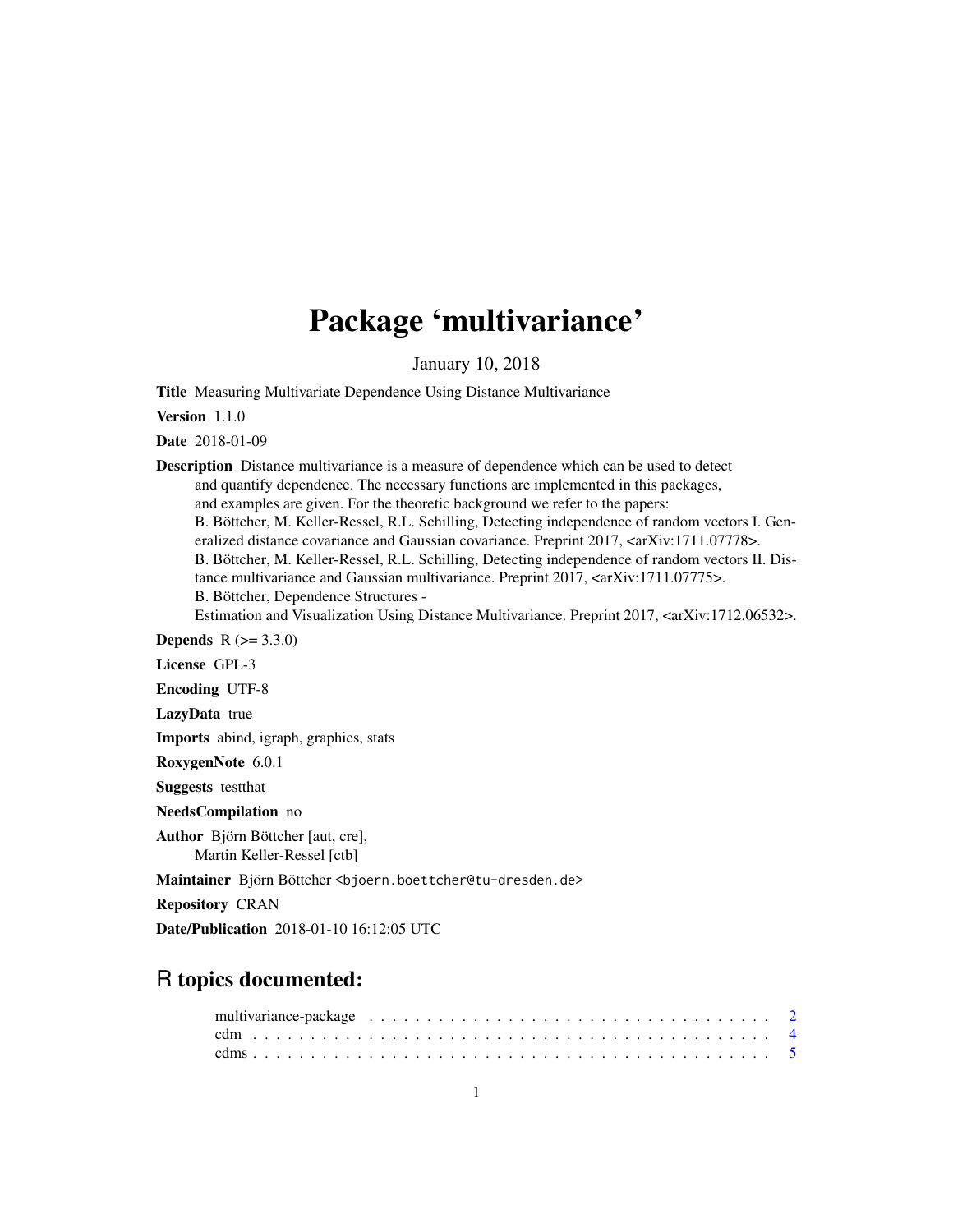## Package 'multivariance'

January 10, 2018

<span id="page-0-0"></span>Title Measuring Multivariate Dependence Using Distance Multivariance

Version 1.1.0

Date 2018-01-09

Description Distance multivariance is a measure of dependence which can be used to detect and quantify dependence. The necessary functions are implemented in this packages, and examples are given. For the theoretic background we refer to the papers: B. Böttcher, M. Keller-Ressel, R.L. Schilling, Detecting independence of random vectors I. Generalized distance covariance and Gaussian covariance. Preprint 2017,  $\langle \text{arXiv:1711.07778} \rangle$ . B. Böttcher, M. Keller-Ressel, R.L. Schilling, Detecting independence of random vectors II. Distance multivariance and Gaussian multivariance. Preprint 2017, <arXiv:1711.07775>. B. Böttcher, Dependence Structures - Estimation and Visualization Using Distance Multivariance. Preprint 2017, <arXiv:1712.06532>. **Depends**  $R (= 3.3.0)$ License GPL-3 Encoding UTF-8 LazyData true Imports abind, igraph, graphics, stats RoxygenNote 6.0.1 Suggests testthat

NeedsCompilation no

Author Björn Böttcher [aut, cre], Martin Keller-Ressel [ctb]

Maintainer Björn Böttcher <bjoern.boettcher@tu-dresden.de>

Repository CRAN

Date/Publication 2018-01-10 16:12:05 UTC

## R topics documented: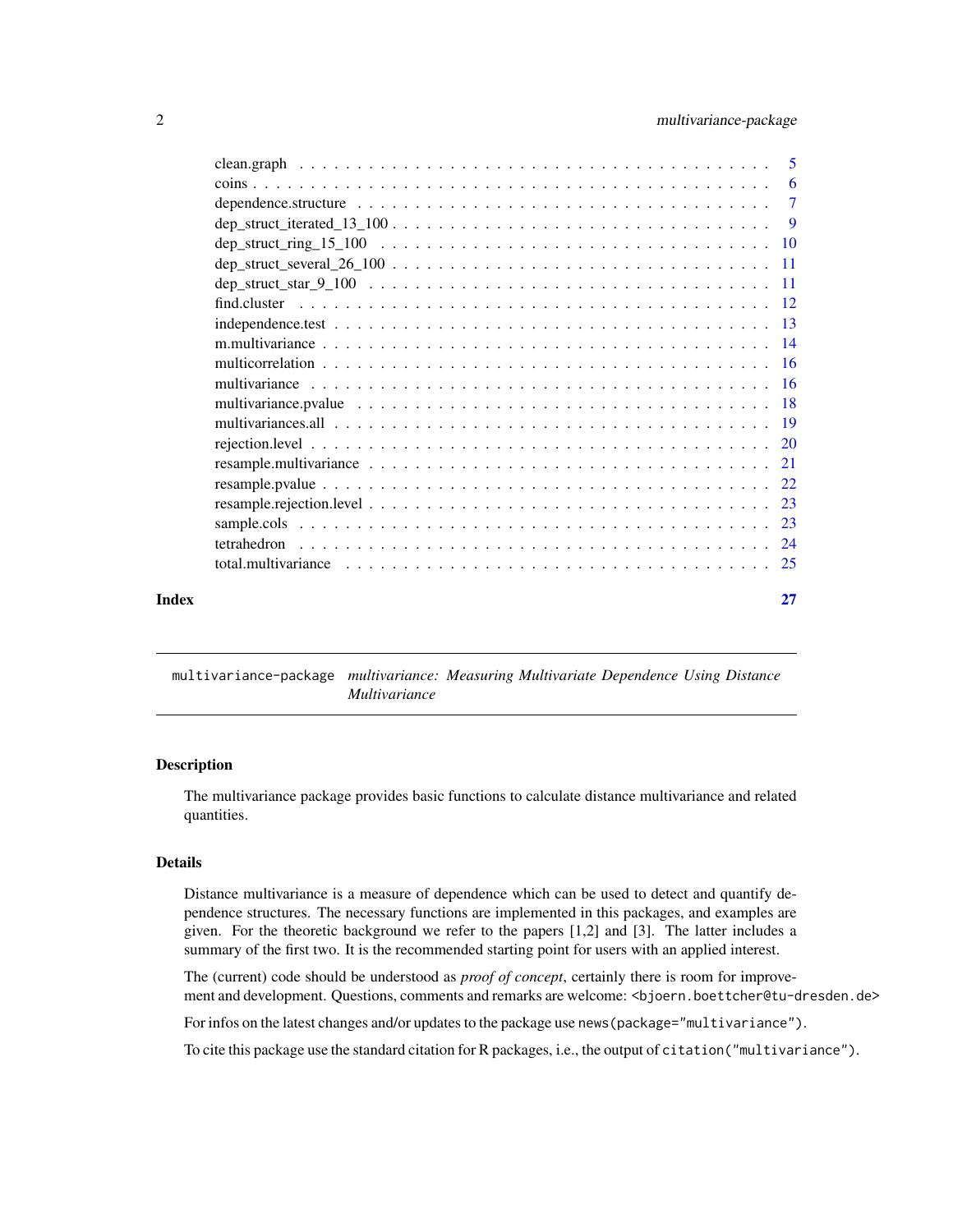<span id="page-1-0"></span>

|       | $\overline{7}$ |
|-------|----------------|
|       |                |
|       |                |
|       |                |
|       |                |
|       |                |
|       |                |
|       |                |
|       |                |
|       |                |
|       |                |
|       |                |
|       |                |
|       |                |
|       |                |
|       |                |
|       |                |
|       |                |
|       |                |
| Index | 27             |

<span id="page-1-1"></span>multivariance-package *multivariance: Measuring Multivariate Dependence Using Distance Multivariance*

#### Description

The multivariance package provides basic functions to calculate distance multivariance and related quantities.

#### Details

Distance multivariance is a measure of dependence which can be used to detect and quantify dependence structures. The necessary functions are implemented in this packages, and examples are given. For the theoretic background we refer to the papers [1,2] and [3]. The latter includes a summary of the first two. It is the recommended starting point for users with an applied interest.

The (current) code should be understood as *proof of concept*, certainly there is room for improvement and development. Questions, comments and remarks are welcome: <br/> <br/> <br/>boettcher@tu-dresden.de>

For infos on the latest changes and/or updates to the package use news(package="multivariance").

To cite this package use the standard citation for R packages, i.e., the output of citation("multivariance").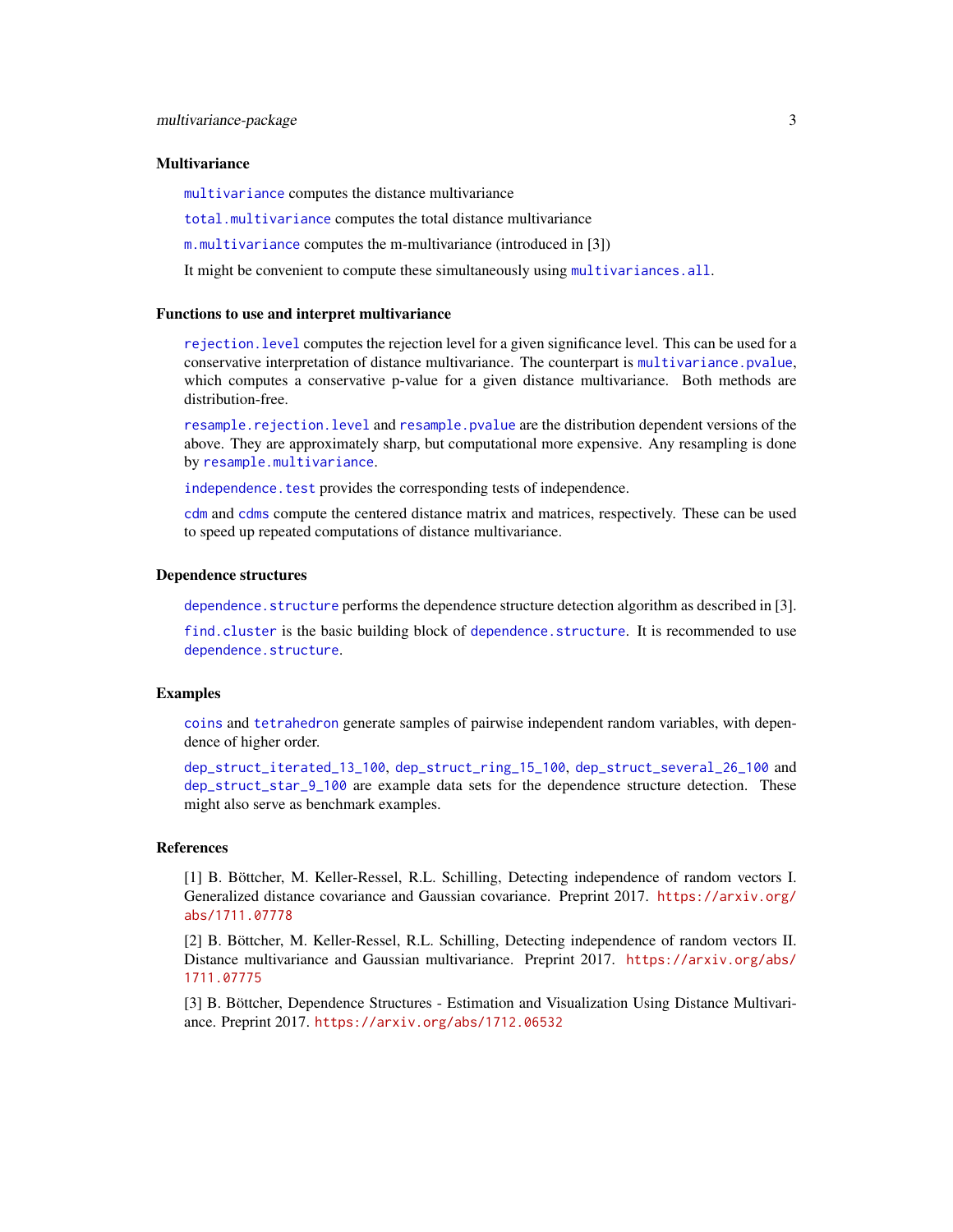#### <span id="page-2-0"></span>**Multivariance**

[multivariance](#page-15-1) computes the distance multivariance

[total.multivariance](#page-24-1) computes the total distance multivariance

[m.multivariance](#page-13-1) computes the m-multivariance (introduced in [3])

It might be convenient to compute these simultaneously using [multivariances.all](#page-18-1).

#### Functions to use and interpret multivariance

[rejection.level](#page-19-1) computes the rejection level for a given significance level. This can be used for a conservative interpretation of distance multivariance. The counterpart is [multivariance.pvalue](#page-17-1), which computes a conservative p-value for a given distance multivariance. Both methods are distribution-free.

[resample.rejection.level](#page-22-1) and [resample.pvalue](#page-21-1) are the distribution dependent versions of the above. They are approximately sharp, but computational more expensive. Any resampling is done by [resample.multivariance](#page-20-1).

independence. test provides the corresponding tests of independence.

[cdm](#page-3-1) and [cdms](#page-4-1) compute the centered distance matrix and matrices, respectively. These can be used to speed up repeated computations of distance multivariance.

#### Dependence structures

[dependence.structure](#page-6-1) performs the dependence structure detection algorithm as described in [3].

[find.cluster](#page-11-1) is the basic building block of [dependence.structure](#page-6-1). It is recommended to use [dependence.structure](#page-6-1).

#### Examples

[coins](#page-5-1) and [tetrahedron](#page-23-1) generate samples of pairwise independent random variables, with dependence of higher order.

[dep\\_struct\\_iterated\\_13\\_100](#page-8-1), [dep\\_struct\\_ring\\_15\\_100](#page-9-1), [dep\\_struct\\_several\\_26\\_100](#page-10-1) and [dep\\_struct\\_star\\_9\\_100](#page-10-2) are example data sets for the dependence structure detection. These might also serve as benchmark examples.

#### References

[1] B. Böttcher, M. Keller-Ressel, R.L. Schilling, Detecting independence of random vectors I. Generalized distance covariance and Gaussian covariance. Preprint 2017. [https://arxiv.org/](https://arxiv.org/abs/1711.07778) [abs/1711.07778](https://arxiv.org/abs/1711.07778)

[2] B. Böttcher, M. Keller-Ressel, R.L. Schilling, Detecting independence of random vectors II. Distance multivariance and Gaussian multivariance. Preprint 2017. [https://arxiv.org/abs/](https://arxiv.org/abs/1711.07775) [1711.07775](https://arxiv.org/abs/1711.07775)

[3] B. Böttcher, Dependence Structures - Estimation and Visualization Using Distance Multivariance. Preprint 2017. <https://arxiv.org/abs/1712.06532>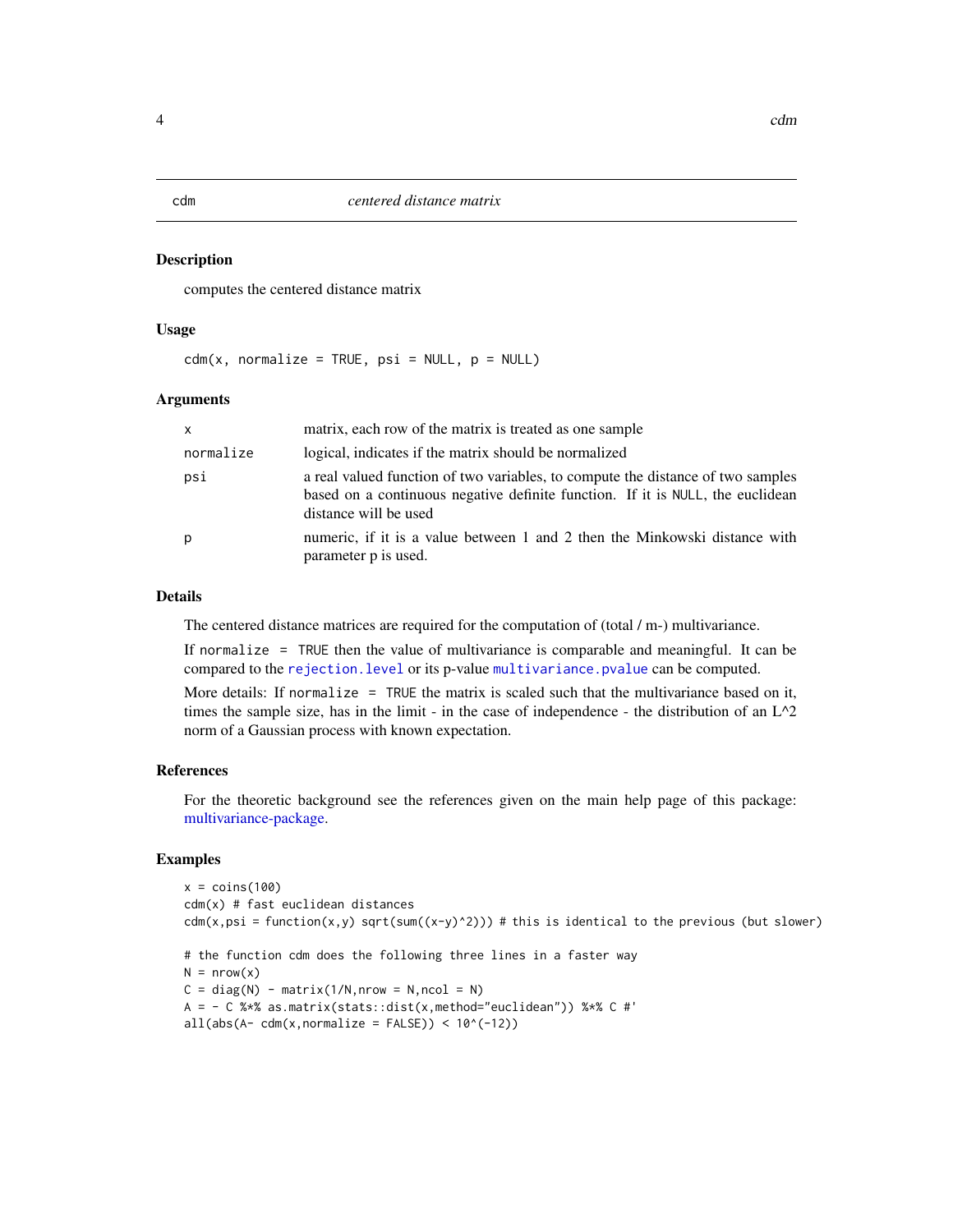#### <span id="page-3-1"></span><span id="page-3-0"></span>Description

computes the centered distance matrix

#### Usage

 $cdm(x, normalize = TRUE, psi = NULL, p = NULL)$ 

#### Arguments

| $\mathsf{x}$ | matrix, each row of the matrix is treated as one sample                                                                                                                                    |
|--------------|--------------------------------------------------------------------------------------------------------------------------------------------------------------------------------------------|
| normalize    | logical, indicates if the matrix should be normalized                                                                                                                                      |
| psi          | a real valued function of two variables, to compute the distance of two samples<br>based on a continuous negative definite function. If it is NULL, the euclidean<br>distance will be used |
| p            | numeric, if it is a value between 1 and 2 then the Minkowski distance with<br>parameter p is used.                                                                                         |

#### Details

The centered distance matrices are required for the computation of (total / m-) multivariance.

If normalize = TRUE then the value of multivariance is comparable and meaningful. It can be compared to the [rejection.level](#page-19-1) or its p-value [multivariance.pvalue](#page-17-1) can be computed.

More details: If normalize = TRUE the matrix is scaled such that the multivariance based on it, times the sample size, has in the limit - in the case of independence - the distribution of an  $L^2$ norm of a Gaussian process with known expectation.

#### References

For the theoretic background see the references given on the main help page of this package: [multivariance-package.](#page-1-1)

#### Examples

```
x = \text{coins}(100)cdm(x) # fast euclidean distances
cdm(x,psi) = function(x,y) sqrt(sum((x-y)^2))) # this is identical to the previous (but slower)
# the function cdm does the following three lines in a faster way
N = nrow(x)C = diag(N) - matrix(1/N, nrow = N, ncol = N)A = - C %*% as.matrix(stats::dist(x,method="euclidean")) %*% C #'
all(abs(A - cdm(x, normalize = FALSE)) < 10^(-12))
```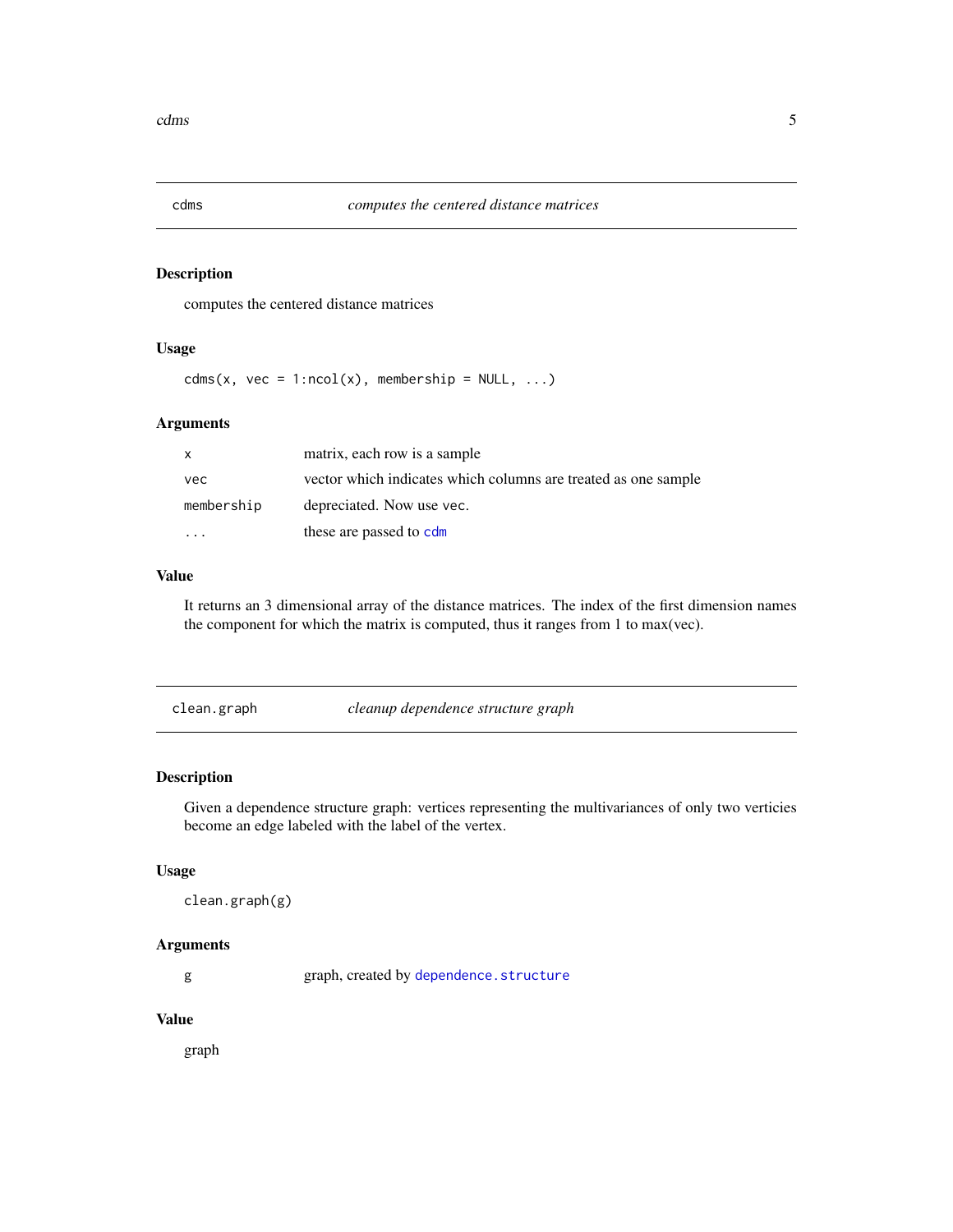<span id="page-4-1"></span><span id="page-4-0"></span>

#### Description

computes the centered distance matrices

#### Usage

 $cdms(x, vec = 1:ncol(x), membership = NULL, ...)$ 

#### Arguments

| X          | matrix, each row is a sample                                   |
|------------|----------------------------------------------------------------|
| vec        | vector which indicates which columns are treated as one sample |
| membership | depreciated. Now use vec.                                      |
|            | these are passed to cdm                                        |

#### Value

It returns an 3 dimensional array of the distance matrices. The index of the first dimension names the component for which the matrix is computed, thus it ranges from 1 to max(vec).

<span id="page-4-2"></span>

| clean.graph | cleanup dependence structure graph |
|-------------|------------------------------------|
|             |                                    |

#### Description

Given a dependence structure graph: vertices representing the multivariances of only two verticies become an edge labeled with the label of the vertex.

#### Usage

```
clean.graph(g)
```
#### Arguments

g graph, created by [dependence.structure](#page-6-1)

#### Value

graph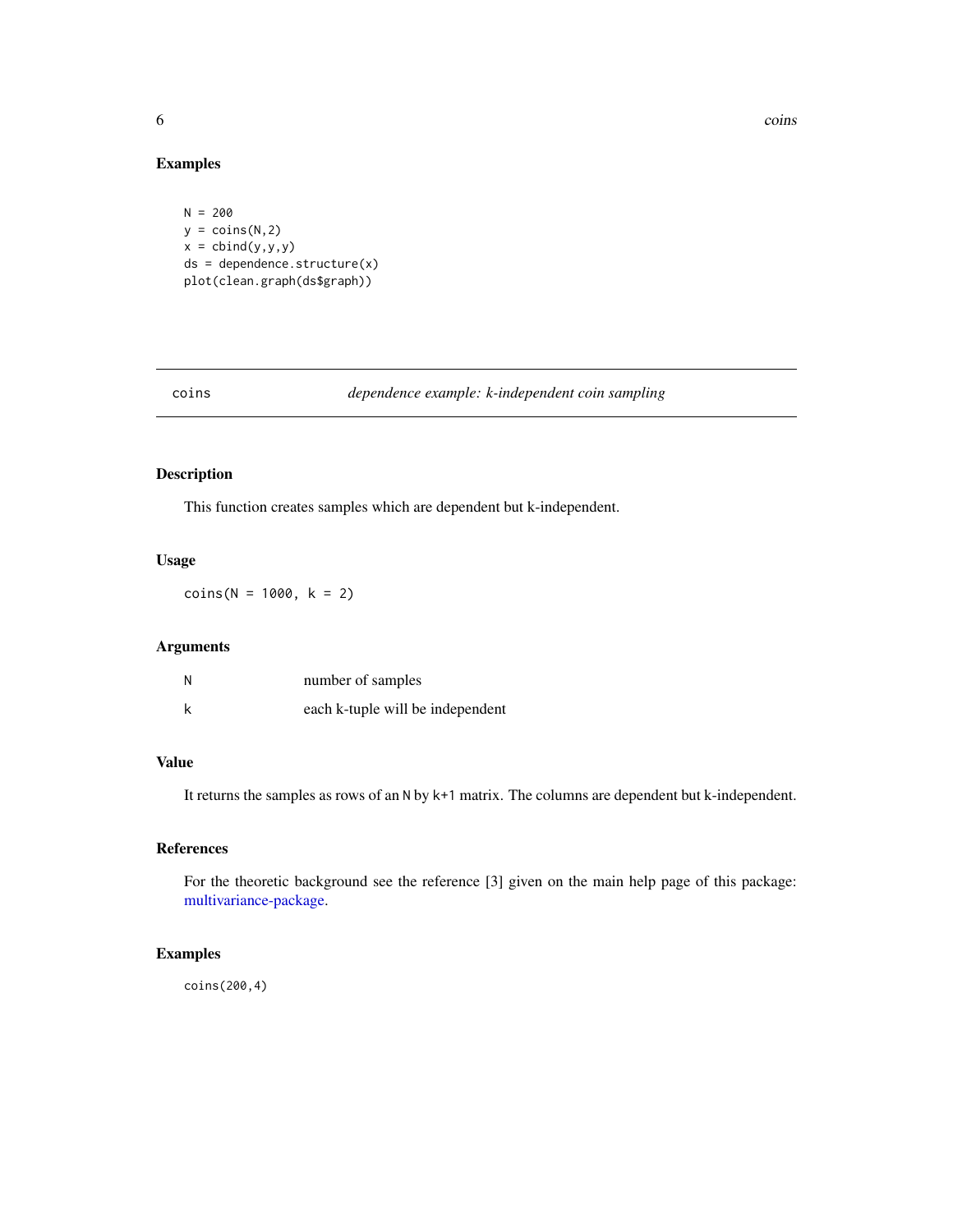<span id="page-5-0"></span>6 coins coins and the coins of the coins of the coins of the coins of the coins of the coins of the coins of the coins of the coins of the coins of the coins of the coins of the coins of the coins of the coins of the coins

#### Examples

```
N = 200
y = \text{coins}(N, 2)x = \text{cbind}(y, y, y)ds = dependence.structure(x)
plot(clean.graph(ds$graph))
```
#### <span id="page-5-1"></span>coins *dependence example: k-independent coin sampling*

#### Description

This function creates samples which are dependent but k-independent.

#### Usage

 $coins(N = 1000, k = 2)$ 

#### Arguments

| N | number of samples                |
|---|----------------------------------|
| k | each k-tuple will be independent |

### Value

It returns the samples as rows of an N by k+1 matrix. The columns are dependent but k-independent.

#### References

For the theoretic background see the reference [3] given on the main help page of this package: [multivariance-package.](#page-1-1)

#### Examples

coins(200,4)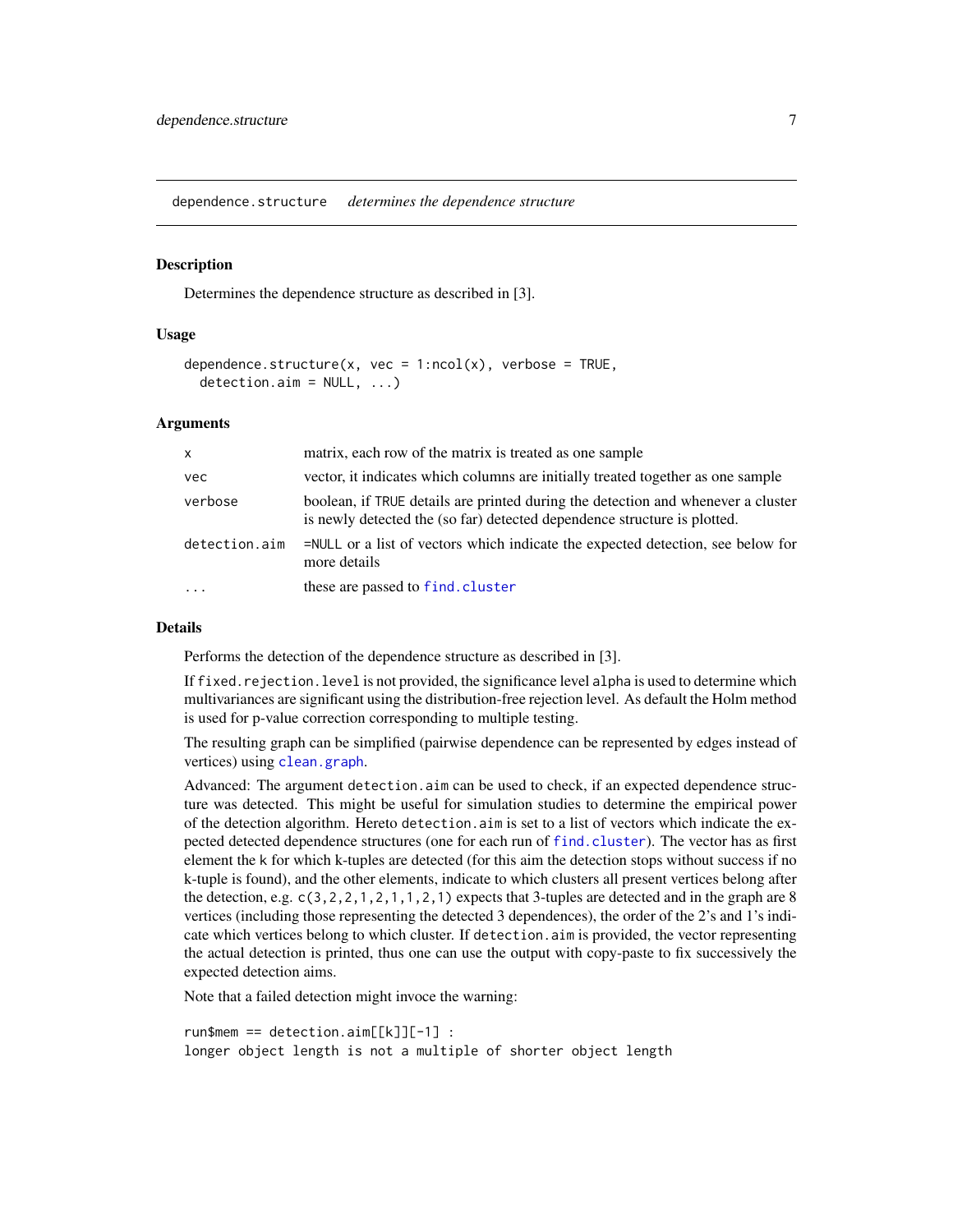<span id="page-6-1"></span><span id="page-6-0"></span>dependence.structure *determines the dependence structure*

#### Description

Determines the dependence structure as described in [3].

#### Usage

```
dependence.structure(x, vec = 1:ncol(x), verbose = TRUE,
  detection.in = NULL, ...)
```
#### Arguments

| $\mathsf{x}$  | matrix, each row of the matrix is treated as one sample                                                                                                      |
|---------------|--------------------------------------------------------------------------------------------------------------------------------------------------------------|
| vec           | vector, it indicates which columns are initially treated together as one sample                                                                              |
| verbose       | boolean, if TRUE details are printed during the detection and whenever a cluster<br>is newly detected the (so far) detected dependence structure is plotted. |
| detection.aim | =NULL or a list of vectors which indicate the expected detection, see below for<br>more details                                                              |
|               | these are passed to find.cluster                                                                                                                             |

#### Details

Performs the detection of the dependence structure as described in [3].

If fixed.rejection.level is not provided, the significance level alpha is used to determine which multivariances are significant using the distribution-free rejection level. As default the Holm method is used for p-value correction corresponding to multiple testing.

The resulting graph can be simplified (pairwise dependence can be represented by edges instead of vertices) using [clean.graph](#page-4-2).

Advanced: The argument detection.aim can be used to check, if an expected dependence structure was detected. This might be useful for simulation studies to determine the empirical power of the detection algorithm. Hereto detection.aim is set to a list of vectors which indicate the expected detected dependence structures (one for each run of [find.cluster](#page-11-1)). The vector has as first element the k for which k-tuples are detected (for this aim the detection stops without success if no k-tuple is found), and the other elements, indicate to which clusters all present vertices belong after the detection, e.g.  $c(3,2,2,1,2,1,1,2,1)$  expects that 3-tuples are detected and in the graph are 8 vertices (including those representing the detected 3 dependences), the order of the 2's and 1's indicate which vertices belong to which cluster. If detection.aim is provided, the vector representing the actual detection is printed, thus one can use the output with copy-paste to fix successively the expected detection aims.

Note that a failed detection might invoce the warning:

run\$mem == detection.aim[[k]][-1] : longer object length is not a multiple of shorter object length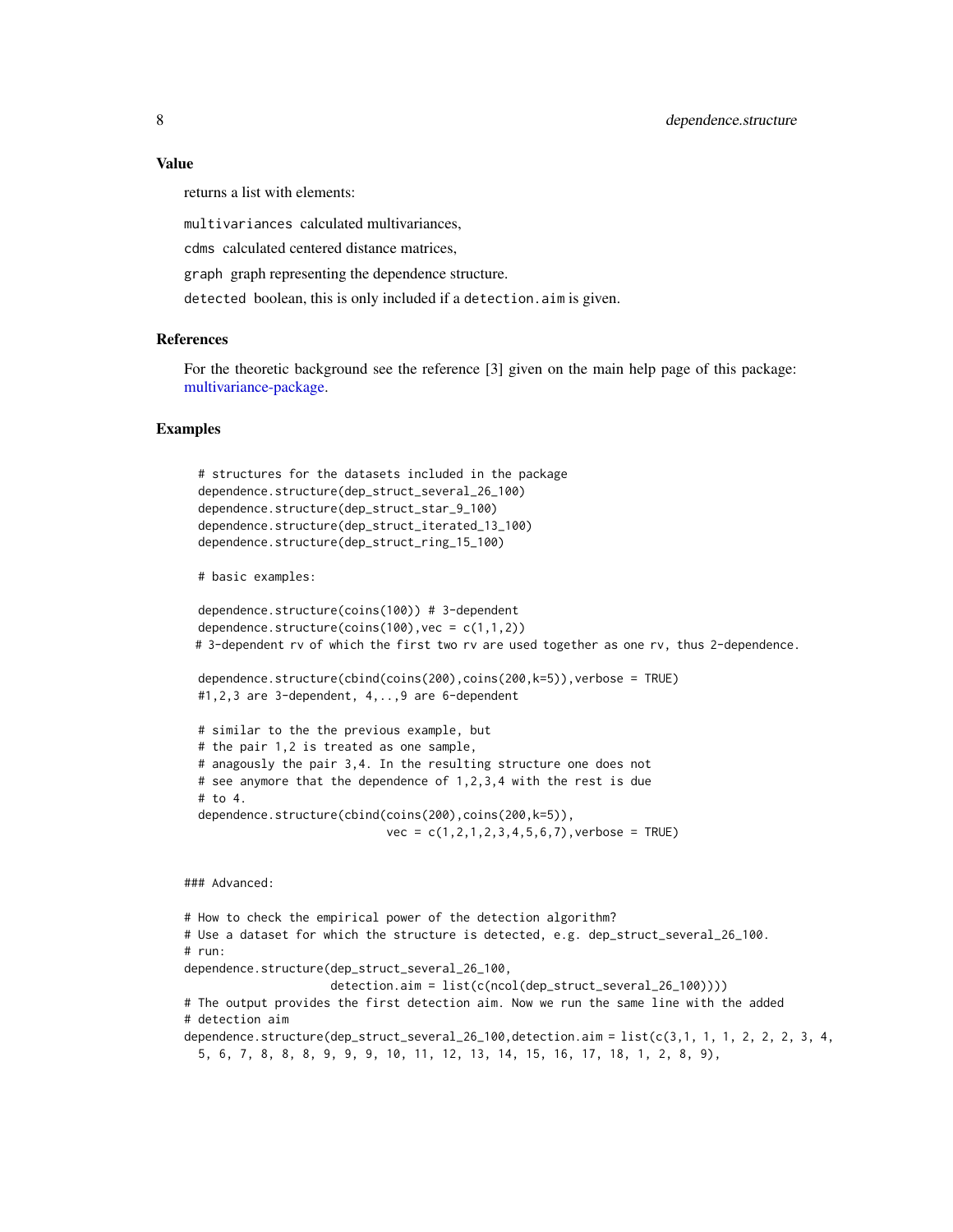#### <span id="page-7-0"></span>Value

returns a list with elements:

multivariances calculated multivariances,

cdms calculated centered distance matrices,

graph graph representing the dependence structure.

detected boolean, this is only included if a detection.aim is given.

#### References

For the theoretic background see the reference [3] given on the main help page of this package: [multivariance-package.](#page-1-1)

#### Examples

```
# structures for the datasets included in the package
dependence.structure(dep_struct_several_26_100)
dependence.structure(dep_struct_star_9_100)
dependence.structure(dep_struct_iterated_13_100)
dependence.structure(dep_struct_ring_15_100)
# basic examples:
dependence.structure(coins(100)) # 3-dependent
dependence.structure(coins(100), vec = c(1,1,2))
# 3-dependent rv of which the first two rv are used together as one rv, thus 2-dependence.
dependence.structure(cbind(coins(200),coins(200,k=5)),verbose = TRUE)
#1,2,3 are 3-dependent, 4,..,9 are 6-dependent
# similar to the the previous example, but
# the pair 1,2 is treated as one sample,
# anagously the pair 3,4. In the resulting structure one does not
# see anymore that the dependence of 1,2,3,4 with the rest is due
```
# to 4. dependence.structure(cbind(coins(200),coins(200,k=5)),  $vec = c(1, 2, 1, 2, 3, 4, 5, 6, 7)$ , verbose = TRUE)

### Advanced:

# How to check the empirical power of the detection algorithm? # Use a dataset for which the structure is detected, e.g. dep\_struct\_several\_26\_100. # run: dependence.structure(dep\_struct\_several\_26\_100, detection.aim = list(c(ncol(dep\_struct\_several\_26\_100)))) # The output provides the first detection aim. Now we run the same line with the added # detection aim dependence.structure(dep\_struct\_several\_26\_100,detection.aim = list(c(3,1, 1, 1, 2, 2, 2, 3, 4, 5, 6, 7, 8, 8, 8, 9, 9, 9, 10, 11, 12, 13, 14, 15, 16, 17, 18, 1, 2, 8, 9),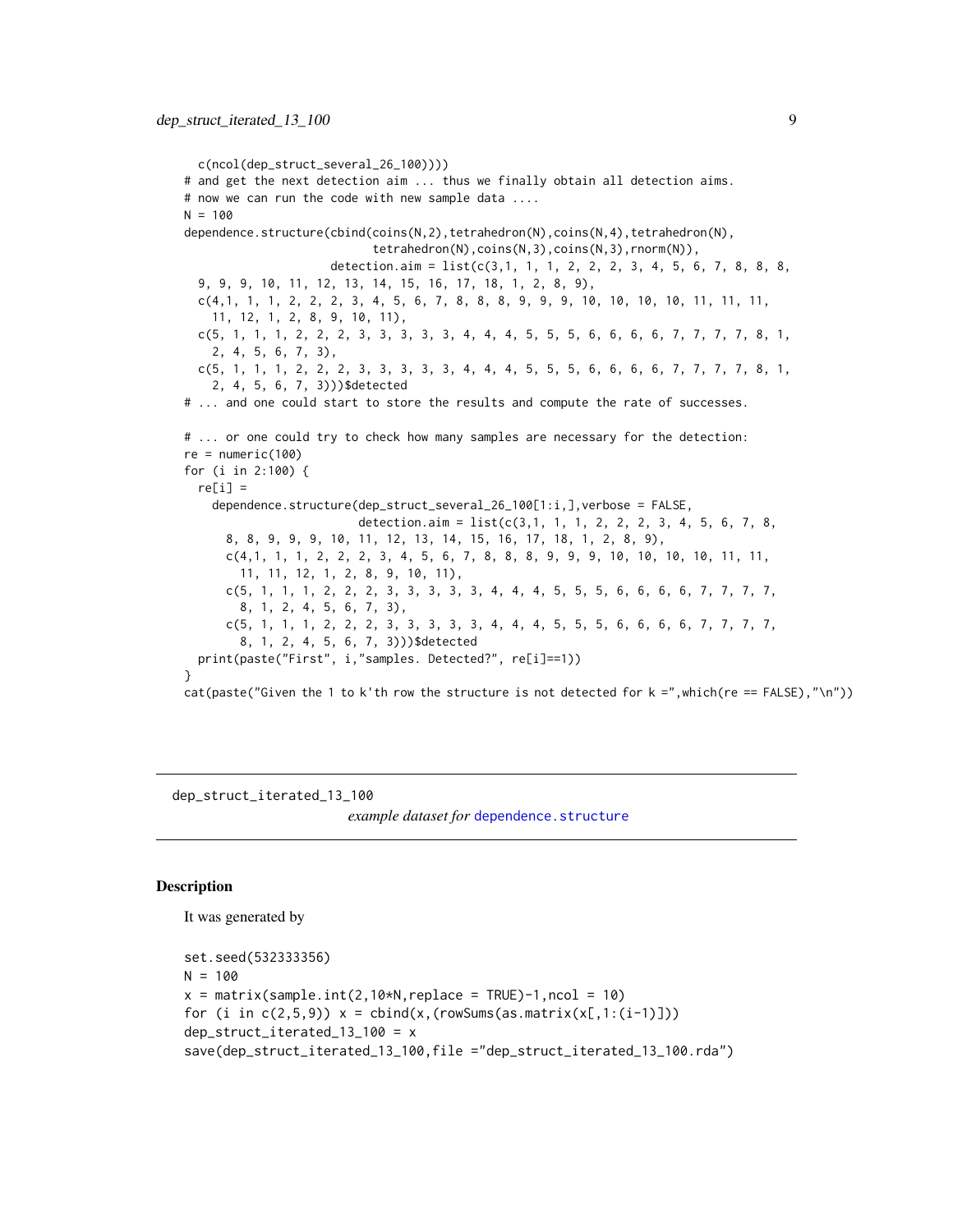```
c(ncol(dep_struct_several_26_100))))
# and get the next detection aim ... thus we finally obtain all detection aims.
# now we can run the code with new sample data ....
N = 100dependence.structure(cbind(coins(N,2),tetrahedron(N),coins(N,4),tetrahedron(N),
                           tetrahedron(N),coins(N,3),coins(N,3),rnorm(N)),
                     detection.aim = list(c(3,1, 1, 1, 2, 2, 2, 3, 4, 5, 6, 7, 8, 8, 8,9, 9, 9, 10, 11, 12, 13, 14, 15, 16, 17, 18, 1, 2, 8, 9),
  c(4,1, 1, 1, 2, 2, 2, 3, 4, 5, 6, 7, 8, 8, 8, 9, 9, 9, 10, 10, 10, 10, 11, 11, 11,
    11, 12, 1, 2, 8, 9, 10, 11),
  c(5, 1, 1, 1, 2, 2, 2, 3, 3, 3, 3, 3, 4, 4, 4, 5, 5, 5, 6, 6, 6, 6, 7, 7, 7, 7, 8, 1,
    2, 4, 5, 6, 7, 3),
  c(5, 1, 1, 1, 2, 2, 2, 3, 3, 3, 3, 3, 4, 4, 4, 5, 5, 5, 6, 6, 6, 6, 7, 7, 7, 7, 8, 1,
    2, 4, 5, 6, 7, 3)))$detected
# ... and one could start to store the results and compute the rate of successes.
# ... or one could try to check how many samples are necessary for the detection:
re = numeric(100)for (i in 2:100) {
  re[i] =dependence.structure(dep_struct_several_26_100[1:i,],verbose = FALSE,
                         detection.aim = list(c(3,1, 1, 1, 2, 2, 2, 3, 4, 5, 6, 7, 8,
      8, 8, 9, 9, 9, 10, 11, 12, 13, 14, 15, 16, 17, 18, 1, 2, 8, 9),
      c(4,1, 1, 1, 2, 2, 2, 3, 4, 5, 6, 7, 8, 8, 8, 9, 9, 9, 10, 10, 10, 10, 11, 11,
       11, 11, 12, 1, 2, 8, 9, 10, 11),
      c(5, 1, 1, 1, 2, 2, 2, 3, 3, 3, 3, 3, 4, 4, 4, 5, 5, 5, 6, 6, 6, 6, 7, 7, 7, 7,
        8, 1, 2, 4, 5, 6, 7, 3),
      c(5, 1, 1, 1, 2, 2, 2, 3, 3, 3, 3, 3, 4, 4, 4, 5, 5, 5, 6, 6, 6, 6, 7, 7, 7, 7,
        8, 1, 2, 4, 5, 6, 7, 3)))$detected
  print(paste("First", i,"samples. Detected?", re[i]==1))
}
cat(paste("Given the 1 to k'th row the structure is not detected for k = ",which(re == FALSE), "\n"))
```
<span id="page-8-1"></span>dep\_struct\_iterated\_13\_100

*example dataset for [dependence.structure](#page-6-1)* 

#### **Description**

It was generated by

```
set.seed(532333356)
N = 100x = matrix(sample.int(2,10*N, replace = TRUE)-1, ncol = 10)for (i in c(2,5,9)) x = \text{cbind}(x,(\text{rowsums}(as.\text{matrix}(x[,1:(i-1)])))dep_struct_iterated_13_100 = x
save(dep_struct_iterated_13_100,file ="dep_struct_iterated_13_100.rda")
```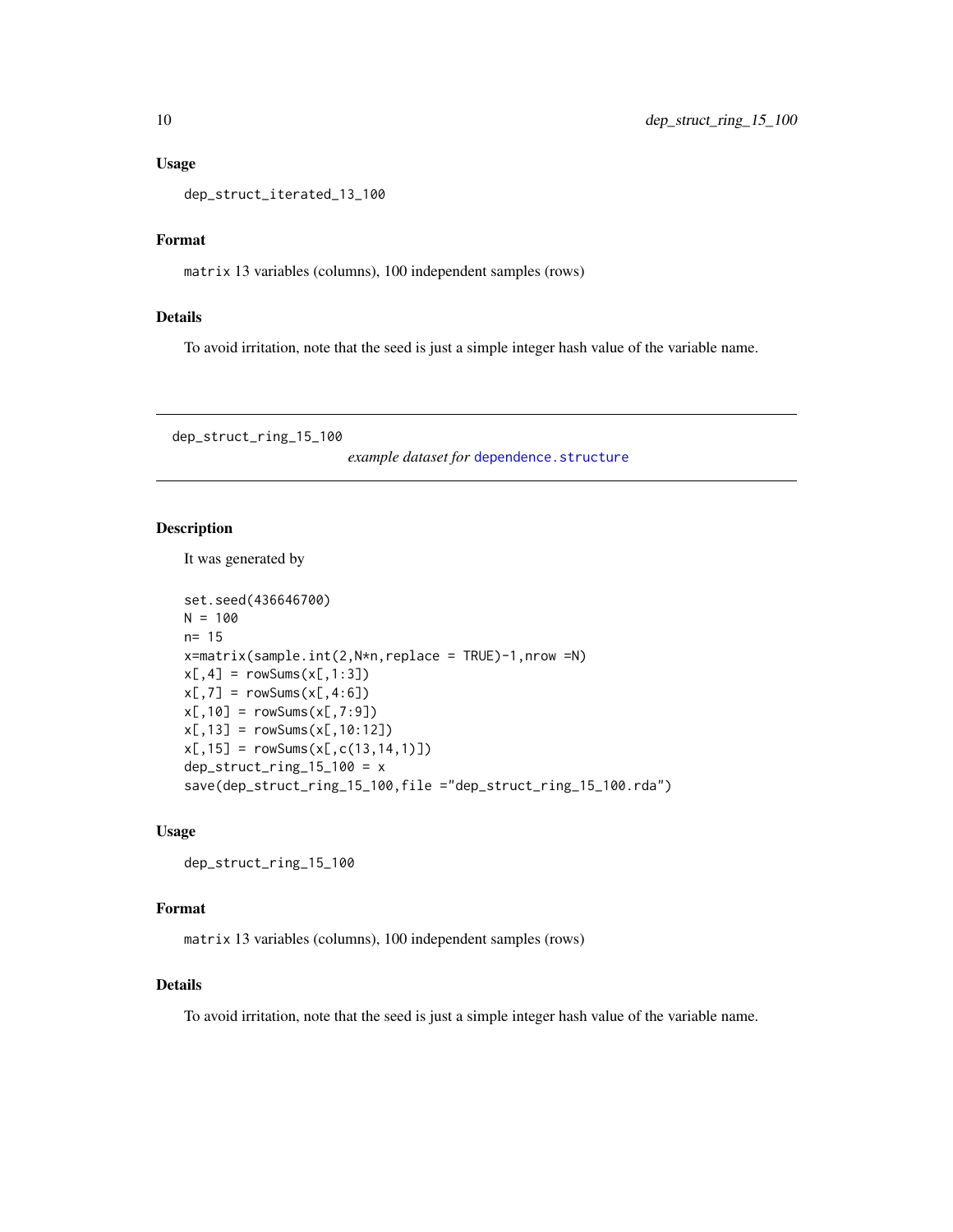#### <span id="page-9-0"></span>Usage

```
dep_struct_iterated_13_100
```
### Format

matrix 13 variables (columns), 100 independent samples (rows)

#### Details

To avoid irritation, note that the seed is just a simple integer hash value of the variable name.

<span id="page-9-1"></span>dep\_struct\_ring\_15\_100

*example dataset for* [dependence.structure](#page-6-1)

#### Description

It was generated by

```
set.seed(436646700)
N = 100n= 15
x=matrix(sample.int(2,N*n,replace = TRUE)-1,nrow =N)x[, 4] = rowsums(x[, 1:3])x[, 7] = rowsums(x[, 4:6])x[,10] = rowsums(x[,7:9])x[, 13] = rowsums(x[, 10:12])x[, 15] = rowsums(x[, c(13, 14, 1)])dep\_struct\_ring\_15\_100 = xsave(dep_struct_ring_15_100,file ="dep_struct_ring_15_100.rda")
```
#### Usage

dep\_struct\_ring\_15\_100

#### Format

matrix 13 variables (columns), 100 independent samples (rows)

#### Details

To avoid irritation, note that the seed is just a simple integer hash value of the variable name.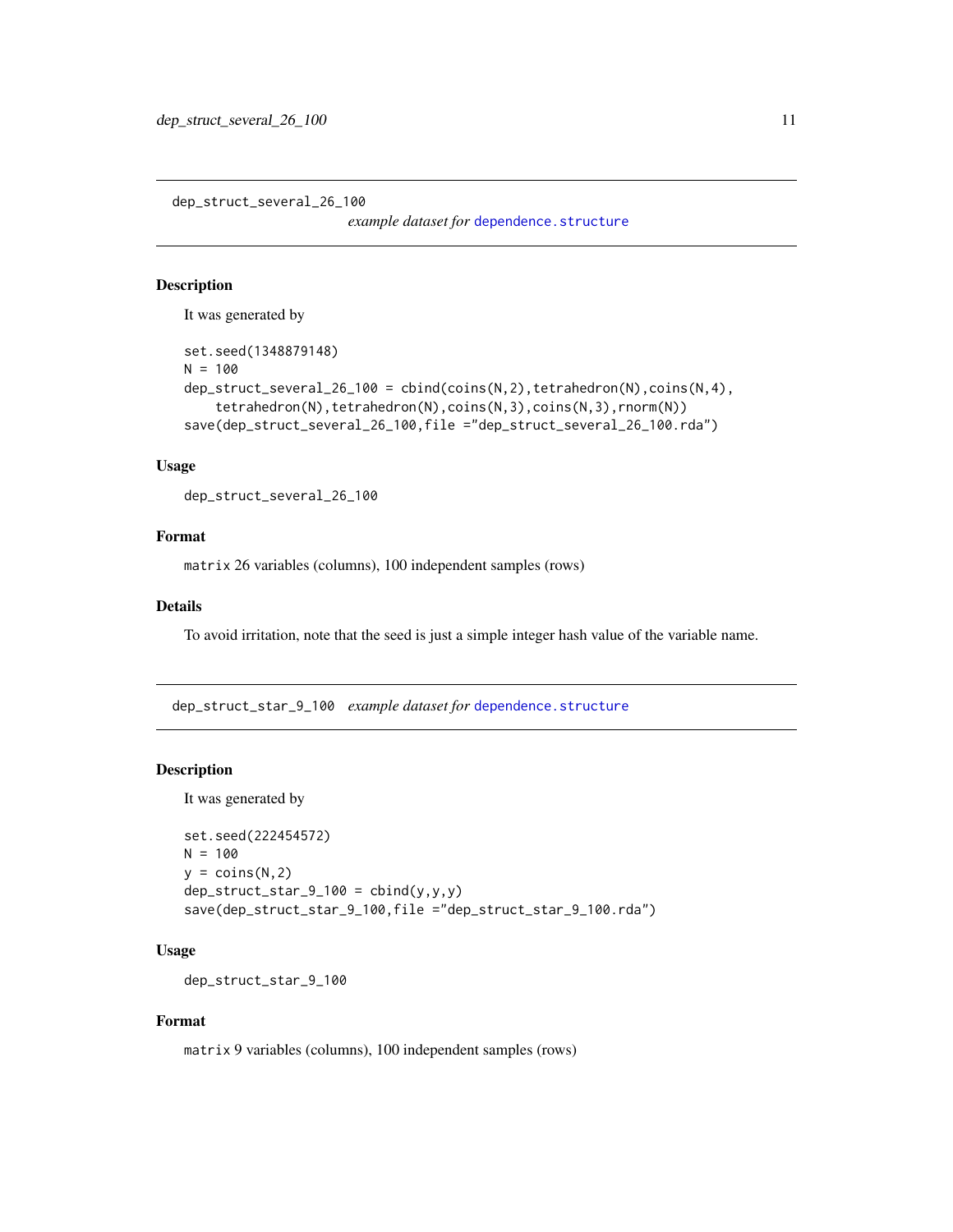<span id="page-10-1"></span><span id="page-10-0"></span>dep\_struct\_several\_26\_100

*example dataset for* [dependence.structure](#page-6-1)

#### Description

It was generated by

```
set.seed(1348879148)
N = 100dep_struct_several_26_100 = cbind(coins(N,2),tetrahedron(N),coins(N,4),
    tetrahedron(N),tetrahedron(N),coins(N,3),coins(N,3),rnorm(N))
save(dep_struct_several_26_100,file ="dep_struct_several_26_100.rda")
```
#### Usage

dep\_struct\_several\_26\_100

#### Format

matrix 26 variables (columns), 100 independent samples (rows)

#### Details

To avoid irritation, note that the seed is just a simple integer hash value of the variable name.

<span id="page-10-2"></span>dep\_struct\_star\_9\_100 *example dataset for* [dependence.structure](#page-6-1)

#### Description

It was generated by

```
set.seed(222454572)
N = 100y = \text{coins}(N, 2)dep\_struct\_star_9_100 = chind(y,y,y)save(dep_struct_star_9_100,file ="dep_struct_star_9_100.rda")
```
### Usage

dep\_struct\_star\_9\_100

#### Format

matrix 9 variables (columns), 100 independent samples (rows)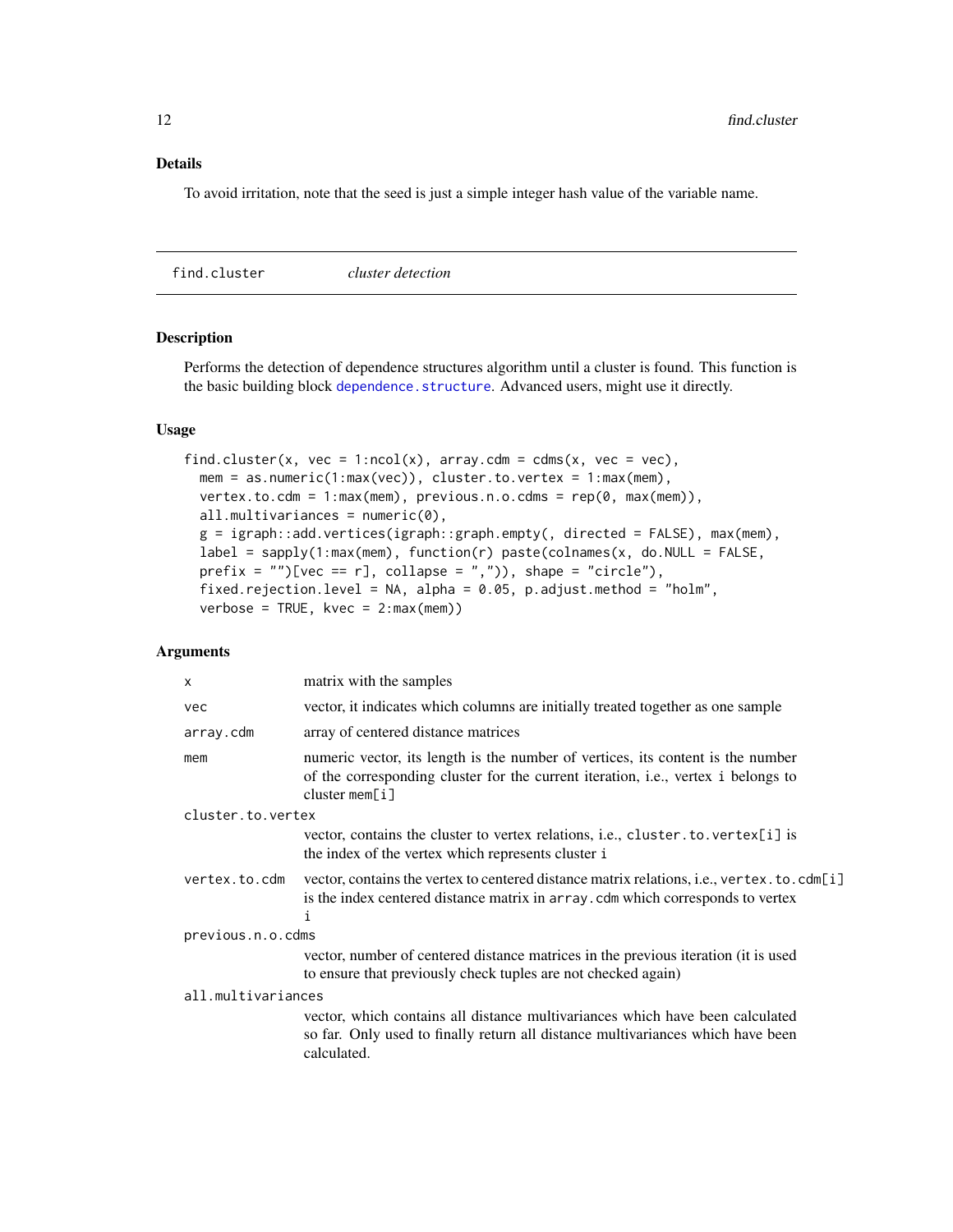#### <span id="page-11-0"></span>Details

To avoid irritation, note that the seed is just a simple integer hash value of the variable name.

<span id="page-11-1"></span>find.cluster *cluster detection*

#### Description

Performs the detection of dependence structures algorithm until a cluster is found. This function is the basic building block [dependence.structure](#page-6-1). Advanced users, might use it directly.

#### Usage

```
find.cluster(x, vec = 1:ncol(x), array.cdm = cdms(x, vec = vec),
 mem = as.numeric(1:max(vec)), cluster.to.vertex = 1:max(mem),
 vertex.to.cdm = 1:max(mem), previous.n.o.cdms = rep(0, max(mem)),
  all.multivariances = numeric(0),
  g = igraph::add.vertices(igraph::graph.empty(, directed = FALSE), max(mem),
  label = sapply(1:max(mem), function(r) paste(colnames(x, do.NULL = FALSE,prefix = ")[vec == r], collapse = ",")), shape = "circle"),
  fixed.rejection.level = NA, alpha = 0.05, p.adjust.method = "holm",
  verbose = TRUE, kvec = 2:max(mem))
```
#### Arguments

| $\times$           | matrix with the samples                                                                                                                                                                      |  |
|--------------------|----------------------------------------------------------------------------------------------------------------------------------------------------------------------------------------------|--|
| vec                | vector, it indicates which columns are initially treated together as one sample                                                                                                              |  |
| array.cdm          | array of centered distance matrices                                                                                                                                                          |  |
| mem                | numeric vector, its length is the number of vertices, its content is the number<br>of the corresponding cluster for the current iteration, i.e., vertex i belongs to<br>cluster mem $[i]$    |  |
| cluster.to.vertex  |                                                                                                                                                                                              |  |
|                    | vector, contains the cluster to vertex relations, i.e., cluster. to. vertex[i] is<br>the index of the vertex which represents cluster i                                                      |  |
| vertex.to.cdm      | vector, contains the vertex to centered distance matrix relations, <i>i.e.</i> , vertex. to. cdm[i]<br>is the index centered distance matrix in array. cdm which corresponds to vertex<br>ı. |  |
| previous.n.o.cdms  |                                                                                                                                                                                              |  |
|                    | vector, number of centered distance matrices in the previous iteration (it is used<br>to ensure that previously check tuples are not checked again)                                          |  |
| all.multivariances |                                                                                                                                                                                              |  |
|                    | vector, which contains all distance multivariances which have been calculated<br>so far. Only used to finally return all distance multivariances which have been<br>calculated.              |  |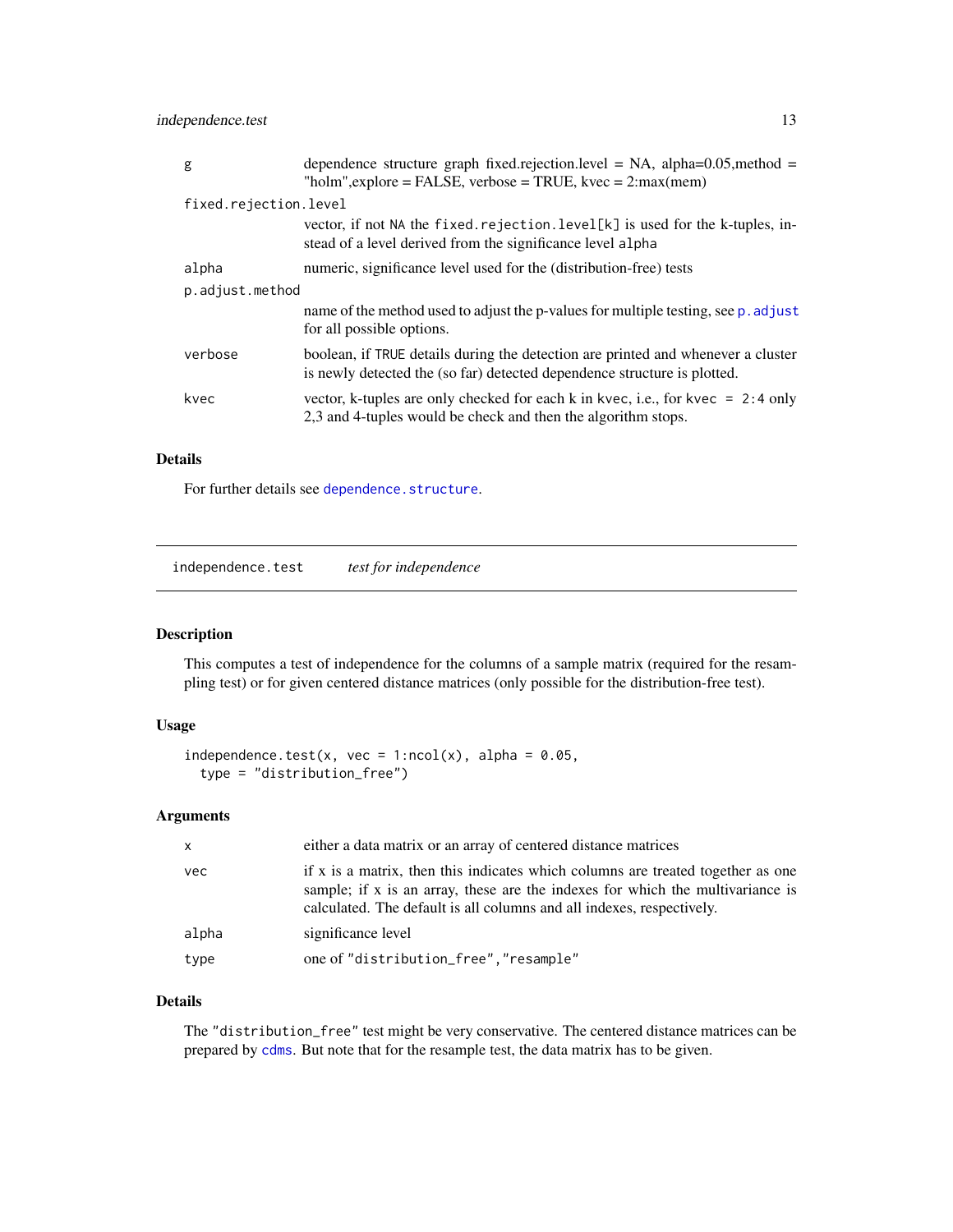<span id="page-12-0"></span>independence.test 13

| g                     | dependence structure graph fixed.rejection.level = NA, alpha= $0.05$ , method =<br>"holm", explore = FALSE, verbose = TRUE, kvec = $2 \cdot max(mem)$        |
|-----------------------|--------------------------------------------------------------------------------------------------------------------------------------------------------------|
| fixed.rejection.level |                                                                                                                                                              |
|                       | vector, if not NA the fixed rejection. level $[k]$ is used for the k-tuples, in-<br>stead of a level derived from the significance level alpha               |
| alpha                 | numeric, significance level used for the (distribution-free) tests                                                                                           |
| p.adjust.method       |                                                                                                                                                              |
|                       | name of the method used to adjust the p-values for multiple testing, see p. adjust<br>for all possible options.                                              |
| verbose               | boolean, if TRUE details during the detection are printed and whenever a cluster<br>is newly detected the (so far) detected dependence structure is plotted. |
| kvec                  | vector, k-tuples are only checked for each k in kvec, i.e., for kvec = $2:4$ only<br>2,3 and 4-tuples would be check and then the algorithm stops.           |

#### Details

For further details see [dependence.structure](#page-6-1).

<span id="page-12-1"></span>independence.test *test for independence*

#### Description

This computes a test of independence for the columns of a sample matrix (required for the resampling test) or for given centered distance matrices (only possible for the distribution-free test).

#### Usage

```
independence.test(x, vec = 1:ncol(x), alpha = 0.05,
  type = "distribution_free")
```
#### Arguments

| $\mathsf{x}$ | either a data matrix or an array of centered distance matrices                                                                                                                                                                             |
|--------------|--------------------------------------------------------------------------------------------------------------------------------------------------------------------------------------------------------------------------------------------|
| vec          | if x is a matrix, then this indicates which columns are treated together as one<br>sample; if x is an array, these are the indexes for which the multivariance is<br>calculated. The default is all columns and all indexes, respectively. |
| alpha        | significance level                                                                                                                                                                                                                         |
| type         | one of "distribution_free", "resample"                                                                                                                                                                                                     |

#### Details

The "distribution\_free" test might be very conservative. The centered distance matrices can be prepared by [cdms](#page-4-1). But note that for the resample test, the data matrix has to be given.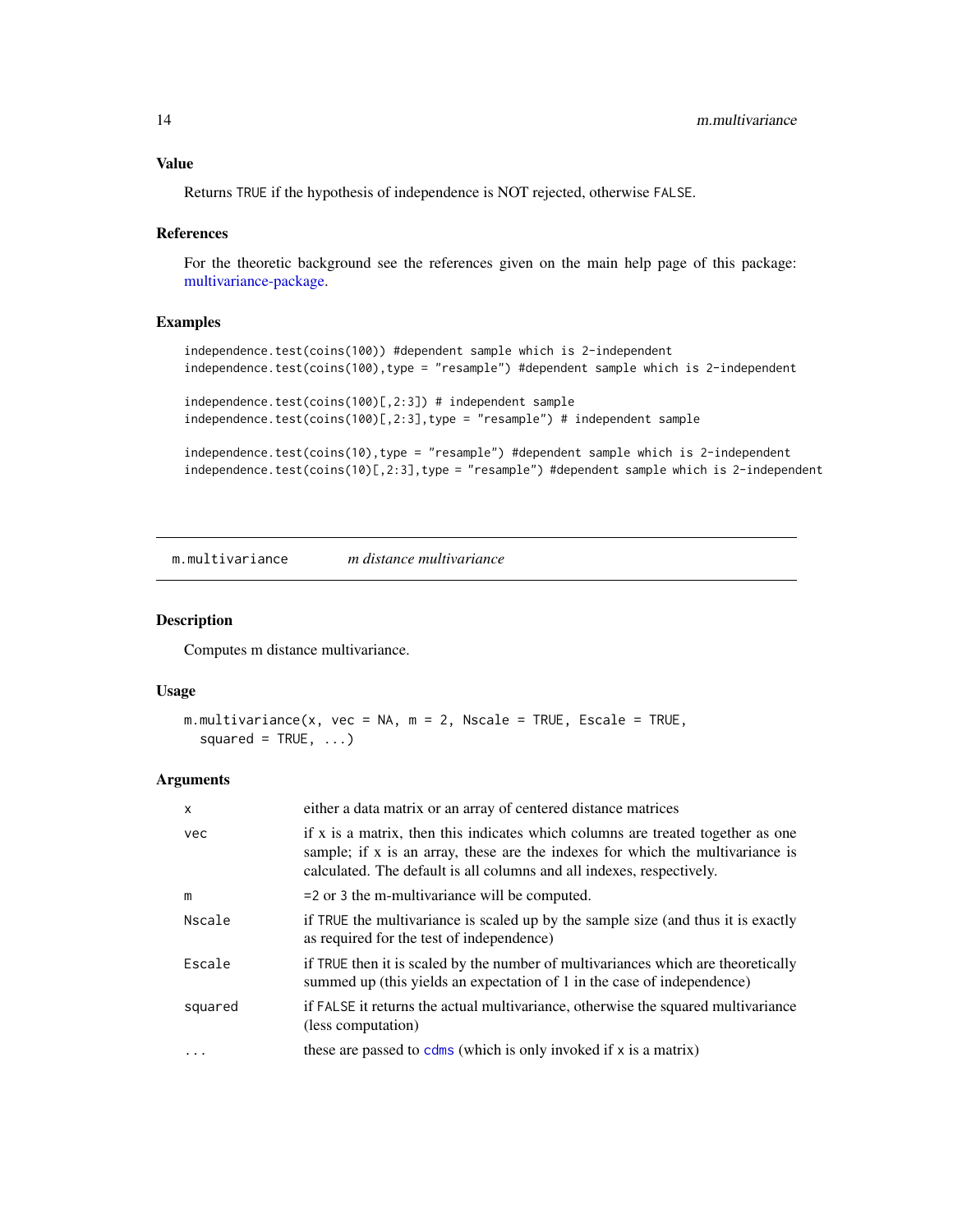#### <span id="page-13-0"></span>Value

Returns TRUE if the hypothesis of independence is NOT rejected, otherwise FALSE.

#### References

For the theoretic background see the references given on the main help page of this package: [multivariance-package.](#page-1-1)

#### Examples

```
independence.test(coins(100)) #dependent sample which is 2-independent
independence.test(coins(100),type = "resample") #dependent sample which is 2-independent
independence.test(coins(100)[,2:3]) # independent sample
independence.test(coins(100)[,2:3],type = "resample") # independent sample
```

```
independence.test(coins(10),type = "resample") #dependent sample which is 2-independent
independence.test(coins(10)[,2:3],type = "resample") #dependent sample which is 2-independent
```
<span id="page-13-1"></span>m.multivariance *m distance multivariance*

#### Description

Computes m distance multivariance.

#### Usage

```
m.multivariance(x, vec = NA, m = 2, Nscale = TRUE, Escale = TRUE,
 squared = TRUE, ...)
```
#### Arguments

| $\mathsf{x}$ | either a data matrix or an array of centered distance matrices                                                                                                                                                                             |
|--------------|--------------------------------------------------------------------------------------------------------------------------------------------------------------------------------------------------------------------------------------------|
| vec          | if x is a matrix, then this indicates which columns are treated together as one<br>sample; if x is an array, these are the indexes for which the multivariance is<br>calculated. The default is all columns and all indexes, respectively. |
| m            | $=$ 2 or 3 the m-multivariance will be computed.                                                                                                                                                                                           |
| Nscale       | if TRUE the multivariance is scaled up by the sample size (and thus it is exactly<br>as required for the test of independence)                                                                                                             |
| Escale       | if TRUE then it is scaled by the number of multivariances which are theoretically<br>summed up (this yields an expectation of 1 in the case of independence)                                                                               |
| squared      | if FALSE it returns the actual multivariance, otherwise the squared multivariance<br>(less computation)                                                                                                                                    |
| $\cdot$      | these are passed to $cdms$ (which is only invoked if $x$ is a matrix)                                                                                                                                                                      |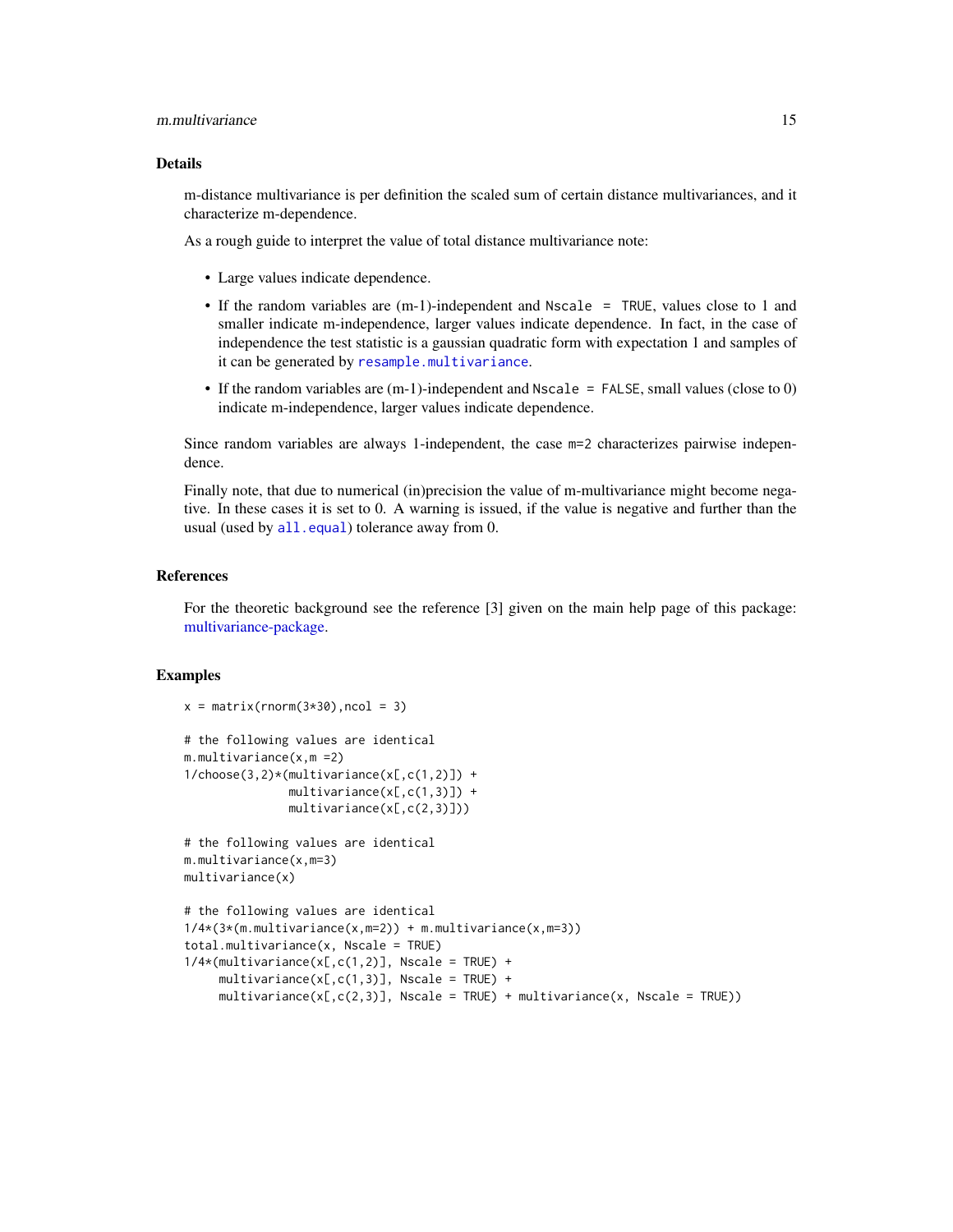#### <span id="page-14-0"></span>m.multivariance 15

#### Details

m-distance multivariance is per definition the scaled sum of certain distance multivariances, and it characterize m-dependence.

As a rough guide to interpret the value of total distance multivariance note:

• Large values indicate dependence.

 $x = matrix(rnorm(3*30),ncol = 3)$ 

- If the random variables are (m-1)-independent and Nscale = TRUE, values close to 1 and smaller indicate m-independence, larger values indicate dependence. In fact, in the case of independence the test statistic is a gaussian quadratic form with expectation 1 and samples of it can be generated by [resample.multivariance](#page-20-1).
- If the random variables are (m-1)-independent and Nscale = FALSE, small values (close to 0) indicate m-independence, larger values indicate dependence.

Since random variables are always 1-independent, the case m=2 characterizes pairwise independence.

Finally note, that due to numerical (in)precision the value of m-multivariance might become negative. In these cases it is set to 0. A warning is issued, if the value is negative and further than the usual (used by [all.equal](#page-0-0)) tolerance away from 0.

#### References

For the theoretic background see the reference [3] given on the main help page of this package: [multivariance-package.](#page-1-1)

#### Examples

```
# the following values are identical
m.multivariance(x,m =2)
1/choose(3,2)*(multivariance(x[,c(1,2)]) +
               multivariance(x[,c(1,3)]) +
               multivariance(x[,c(2,3)]))
# the following values are identical
m.multivariance(x,m=3)
multivariance(x)
# the following values are identical
1/4*(3*(m.multipariance(x,m=2)) + m.multipariance(x,m=3))total.multivariance(x, Nscale = TRUE)
1/4*(multivariance(x[,c(1,2)], Nscale = TRUE) +
     multipartance(x[,c(1,3)], Nscale = TRUE) +
     multiplication c(x[, c(2,3)], Nscale = TRUE) + multivariance(x, Nscale = TRUE))
```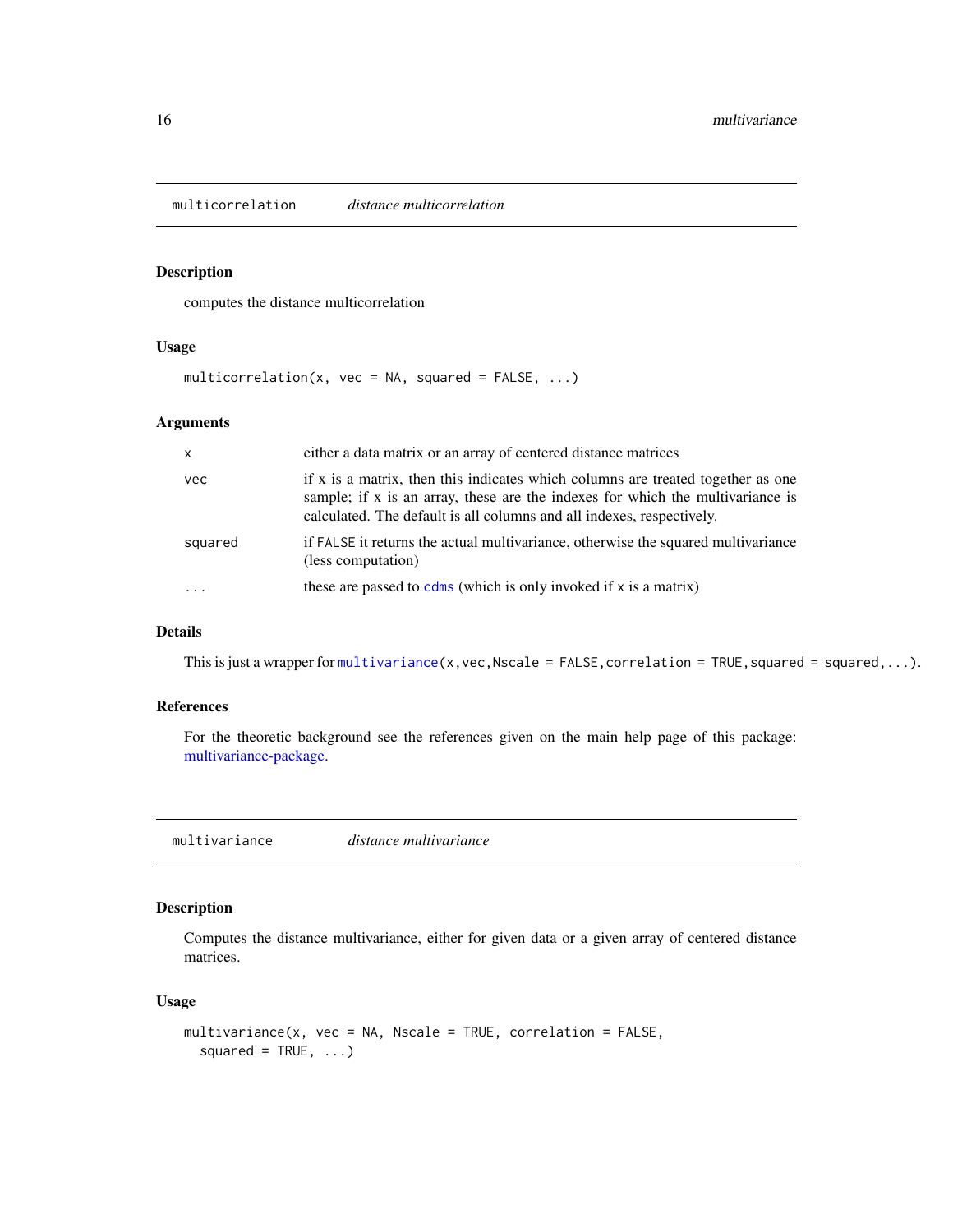<span id="page-15-2"></span><span id="page-15-0"></span>multicorrelation *distance multicorrelation*

#### Description

computes the distance multicorrelation

#### Usage

 $multiplication(x, vec = NA, squared = FALSE, ...)$ 

#### Arguments

| $\mathsf{x}$ | either a data matrix or an array of centered distance matrices                                                                                                                                                                             |
|--------------|--------------------------------------------------------------------------------------------------------------------------------------------------------------------------------------------------------------------------------------------|
| vec          | if x is a matrix, then this indicates which columns are treated together as one<br>sample; if x is an array, these are the indexes for which the multivariance is<br>calculated. The default is all columns and all indexes, respectively. |
| squared      | if FALSE it returns the actual multivariance, otherwise the squared multivariance<br>(less computation)                                                                                                                                    |
| $\ddotsc$    | these are passed to $cdms$ (which is only invoked if x is a matrix)                                                                                                                                                                        |

#### Details

This is just a wrapper for [multivariance\(](#page-15-1)x, vec, Nscale = FALSE, correlation = TRUE, squared = squared, ...).

#### References

For the theoretic background see the references given on the main help page of this package: [multivariance-package.](#page-1-1)

<span id="page-15-1"></span>multivariance *distance multivariance*

#### Description

Computes the distance multivariance, either for given data or a given array of centered distance matrices.

#### Usage

```
multivariance(x, vec = NA, Nscale = TRUE, correlation = FALSE,
  squared = TRUE, ...)
```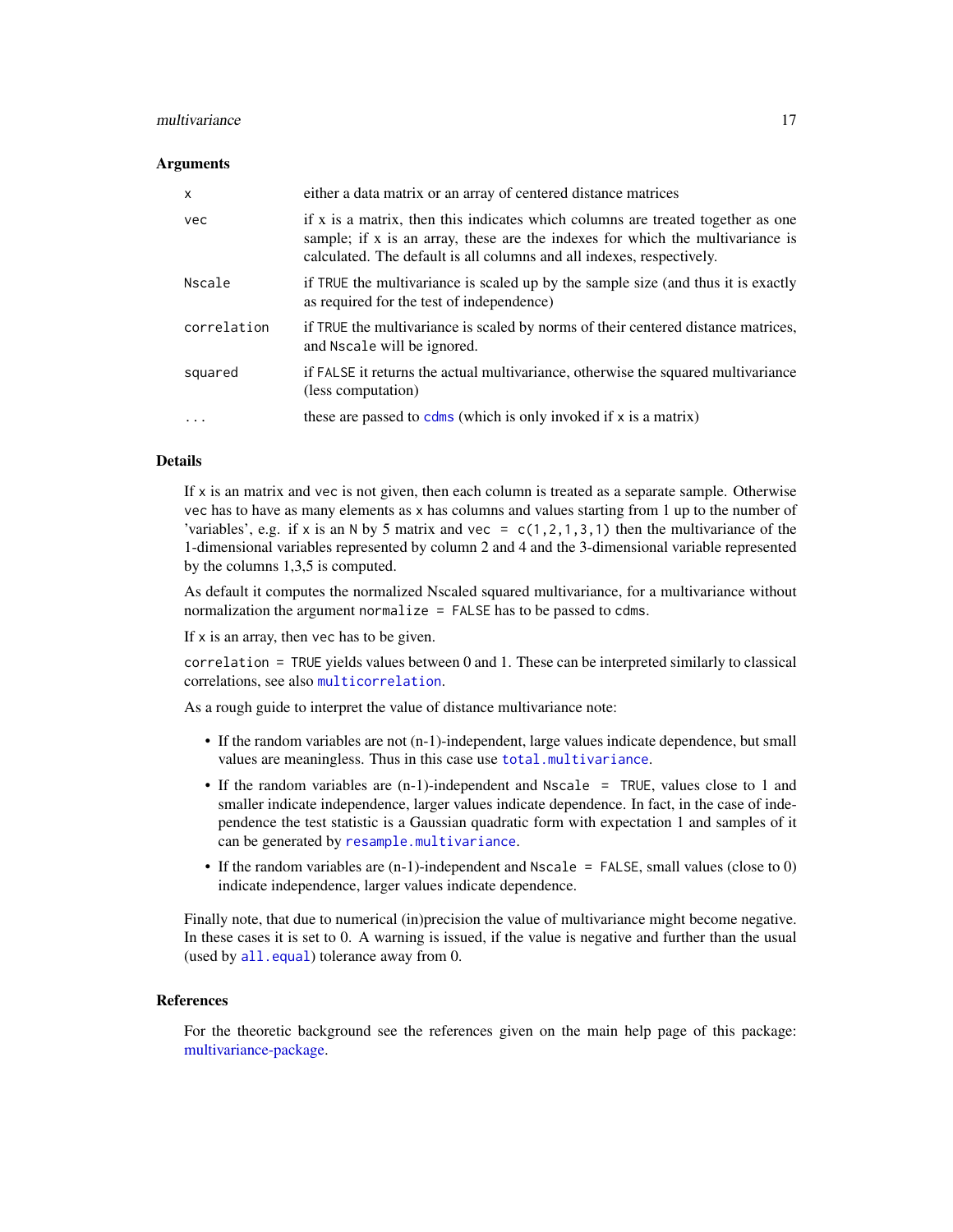#### <span id="page-16-0"></span>multivariance and the contract of the contract of the contract of the contract of the contract of the contract of the contract of the contract of the contract of the contract of the contract of the contract of the contract

#### **Arguments**

| X           | either a data matrix or an array of centered distance matrices                                                                                                                                                                             |
|-------------|--------------------------------------------------------------------------------------------------------------------------------------------------------------------------------------------------------------------------------------------|
| vec         | if x is a matrix, then this indicates which columns are treated together as one<br>sample; if x is an array, these are the indexes for which the multivariance is<br>calculated. The default is all columns and all indexes, respectively. |
| Nscale      | if TRUE the multivariance is scaled up by the sample size (and thus it is exactly<br>as required for the test of independence)                                                                                                             |
| correlation | if TRUE the multivariance is scaled by norms of their centered distance matrices,<br>and Nscale will be ignored.                                                                                                                           |
| squared     | if FALSE it returns the actual multivariance, otherwise the squared multivariance<br>(less computation)                                                                                                                                    |
| .           | these are passed to $cdms$ (which is only invoked if $x$ is a matrix)                                                                                                                                                                      |

#### **Details**

If x is an matrix and vec is not given, then each column is treated as a separate sample. Otherwise vec has to have as many elements as x has columns and values starting from 1 up to the number of 'variables', e.g. if x is an N by 5 matrix and vec =  $c(1,2,1,3,1)$  then the multivariance of the 1-dimensional variables represented by column 2 and 4 and the 3-dimensional variable represented by the columns 1,3,5 is computed.

As default it computes the normalized Nscaled squared multivariance, for a multivariance without normalization the argument normalize = FALSE has to be passed to cdms.

If  $x$  is an array, then vec has to be given.

correlation = TRUE yields values between 0 and 1. These can be interpreted similarly to classical correlations, see also [multicorrelation](#page-15-2).

As a rough guide to interpret the value of distance multivariance note:

- If the random variables are not (n-1)-independent, large values indicate dependence, but small values are meaningless. Thus in this case use [total.multivariance](#page-24-1).
- If the random variables are (n-1)-independent and Nscale = TRUE, values close to 1 and smaller indicate independence, larger values indicate dependence. In fact, in the case of independence the test statistic is a Gaussian quadratic form with expectation 1 and samples of it can be generated by [resample.multivariance](#page-20-1).
- If the random variables are (n-1)-independent and Nscale = FALSE, small values (close to 0) indicate independence, larger values indicate dependence.

Finally note, that due to numerical (in)precision the value of multivariance might become negative. In these cases it is set to 0. A warning is issued, if the value is negative and further than the usual (used by [all.equal](#page-0-0)) tolerance away from 0.

#### References

For the theoretic background see the references given on the main help page of this package: [multivariance-package.](#page-1-1)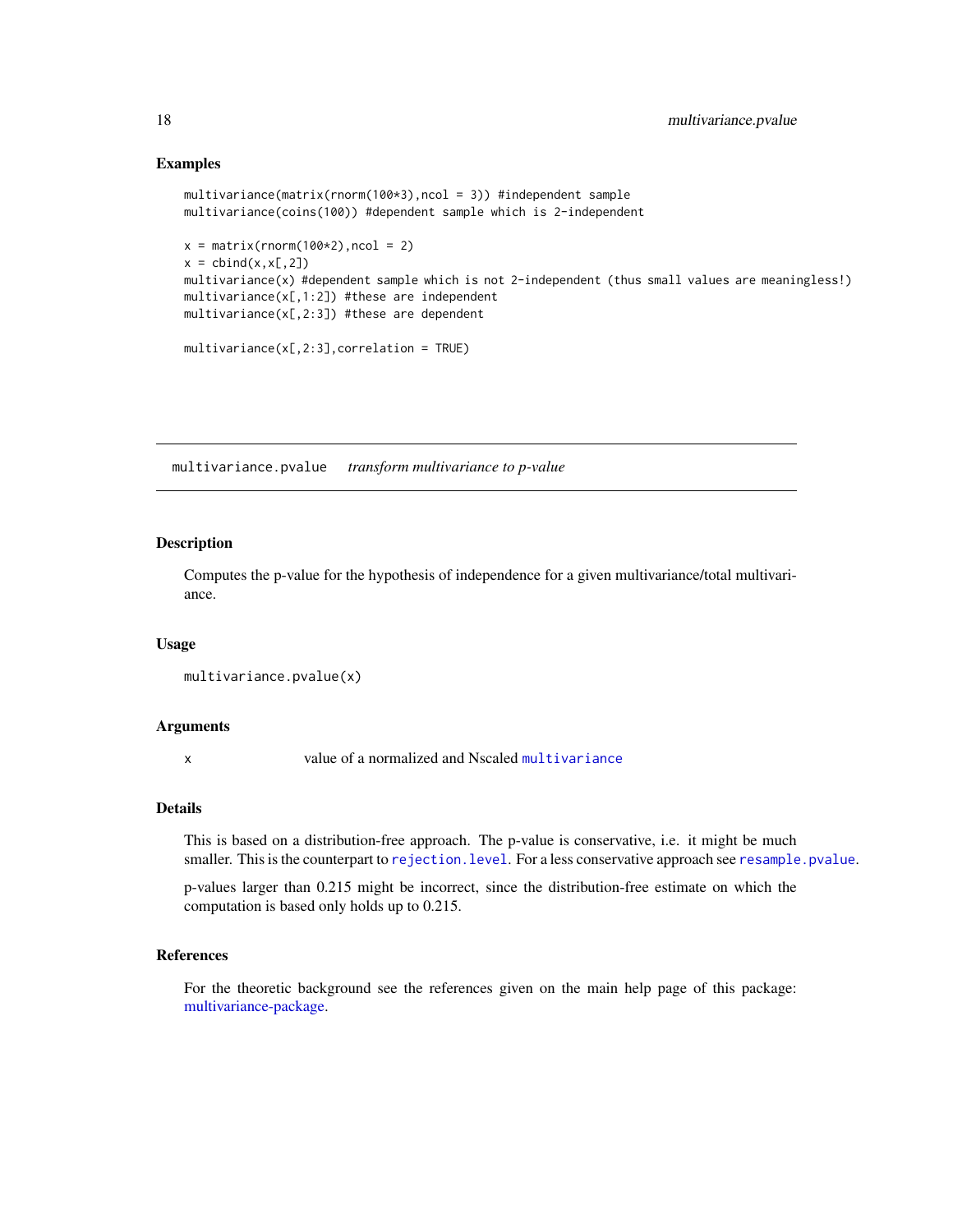#### Examples

```
multivariance(matrix(rnorm(100*3),ncol = 3)) #independent sample
multivariance(coins(100)) #dependent sample which is 2-independent
x = matrix(rnorm(100*2),ncol = 2)x = \text{cbind}(x, x[, 2])multivariance(x) #dependent sample which is not 2-independent (thus small values are meaningless!)
multivariance(x[,1:2]) #these are independent
multivariance(x[,2:3]) #these are dependent
multipariance(x[, 2:3], correlation = TRUE)
```
<span id="page-17-1"></span>multivariance.pvalue *transform multivariance to p-value*

#### Description

Computes the p-value for the hypothesis of independence for a given multivariance/total multivariance.

#### Usage

```
multivariance.pvalue(x)
```
#### Arguments

x value of a normalized and Nscaled [multivariance](#page-15-1)

#### Details

This is based on a distribution-free approach. The p-value is conservative, i.e. it might be much smaller. This is the counterpart to rejection. level. For a less conservative approach see [resample.pvalue](#page-21-1).

p-values larger than 0.215 might be incorrect, since the distribution-free estimate on which the computation is based only holds up to 0.215.

#### References

For the theoretic background see the references given on the main help page of this package: [multivariance-package.](#page-1-1)

<span id="page-17-0"></span>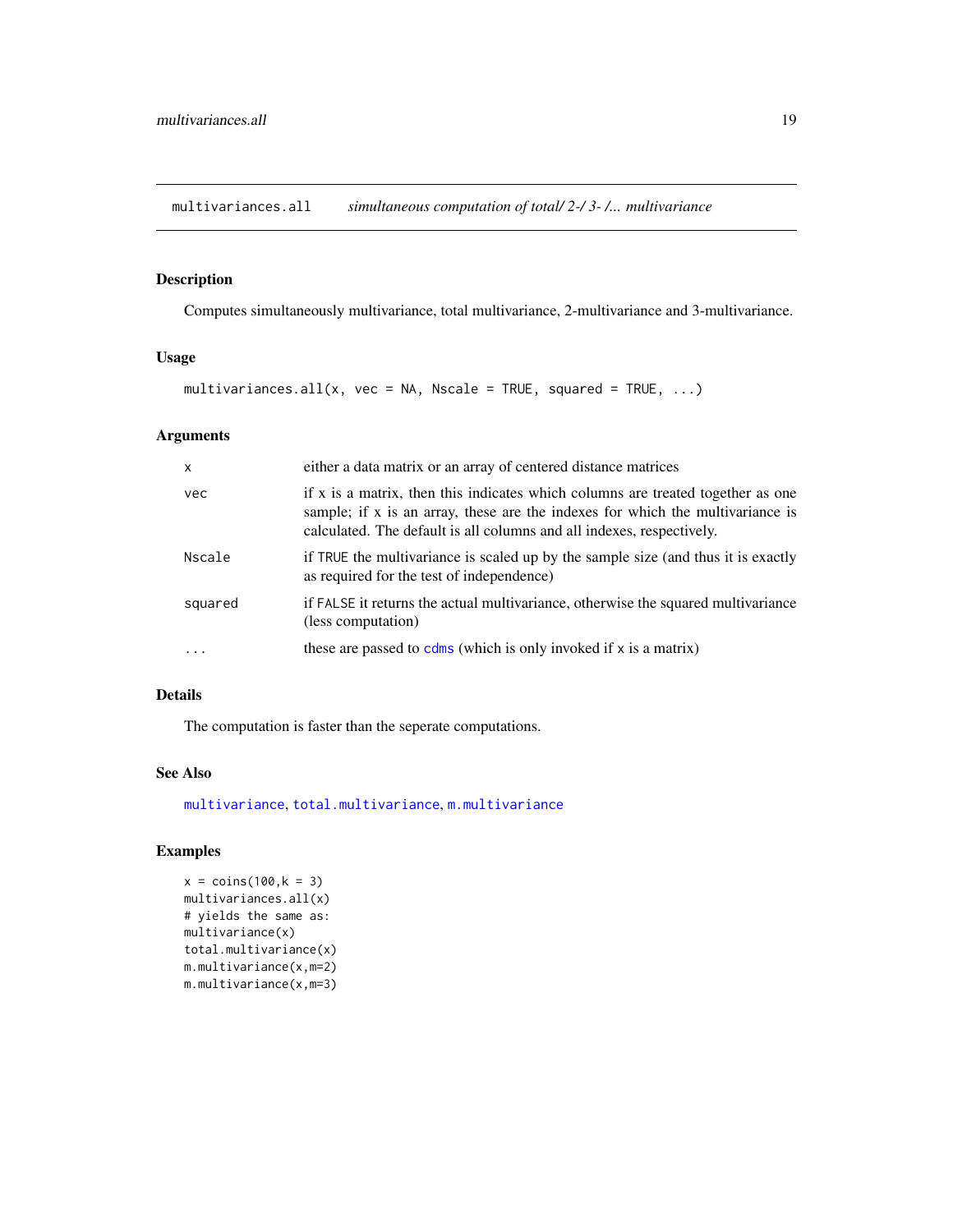<span id="page-18-1"></span><span id="page-18-0"></span>multivariances.all *simultaneous computation of total/ 2-/ 3- /... multivariance*

#### Description

Computes simultaneously multivariance, total multivariance, 2-multivariance and 3-multivariance.

#### Usage

```
multivariances.all(x, vec = NA, Nscale = TRUE, squared = TRUE, \dots)
```
#### Arguments

| $\mathsf{x}$ | either a data matrix or an array of centered distance matrices                                                                                                                                                                             |
|--------------|--------------------------------------------------------------------------------------------------------------------------------------------------------------------------------------------------------------------------------------------|
| vec          | if x is a matrix, then this indicates which columns are treated together as one<br>sample; if x is an array, these are the indexes for which the multivariance is<br>calculated. The default is all columns and all indexes, respectively. |
| Nscale       | if TRUE the multivariance is scaled up by the sample size (and thus it is exactly<br>as required for the test of independence)                                                                                                             |
| squared      | if FALSE it returns the actual multivariance, otherwise the squared multivariance<br>(less computation)                                                                                                                                    |
| $\ddots$     | these are passed to $cdms$ (which is only invoked if $x$ is a matrix)                                                                                                                                                                      |

#### Details

The computation is faster than the seperate computations.

#### See Also

[multivariance](#page-15-1), [total.multivariance](#page-24-1), [m.multivariance](#page-13-1)

#### Examples

```
x = \text{coins}(100, k = 3)multivariances.all(x)
# yields the same as:
multivariance(x)
total.multivariance(x)
m.multivariance(x,m=2)
m.multivariance(x,m=3)
```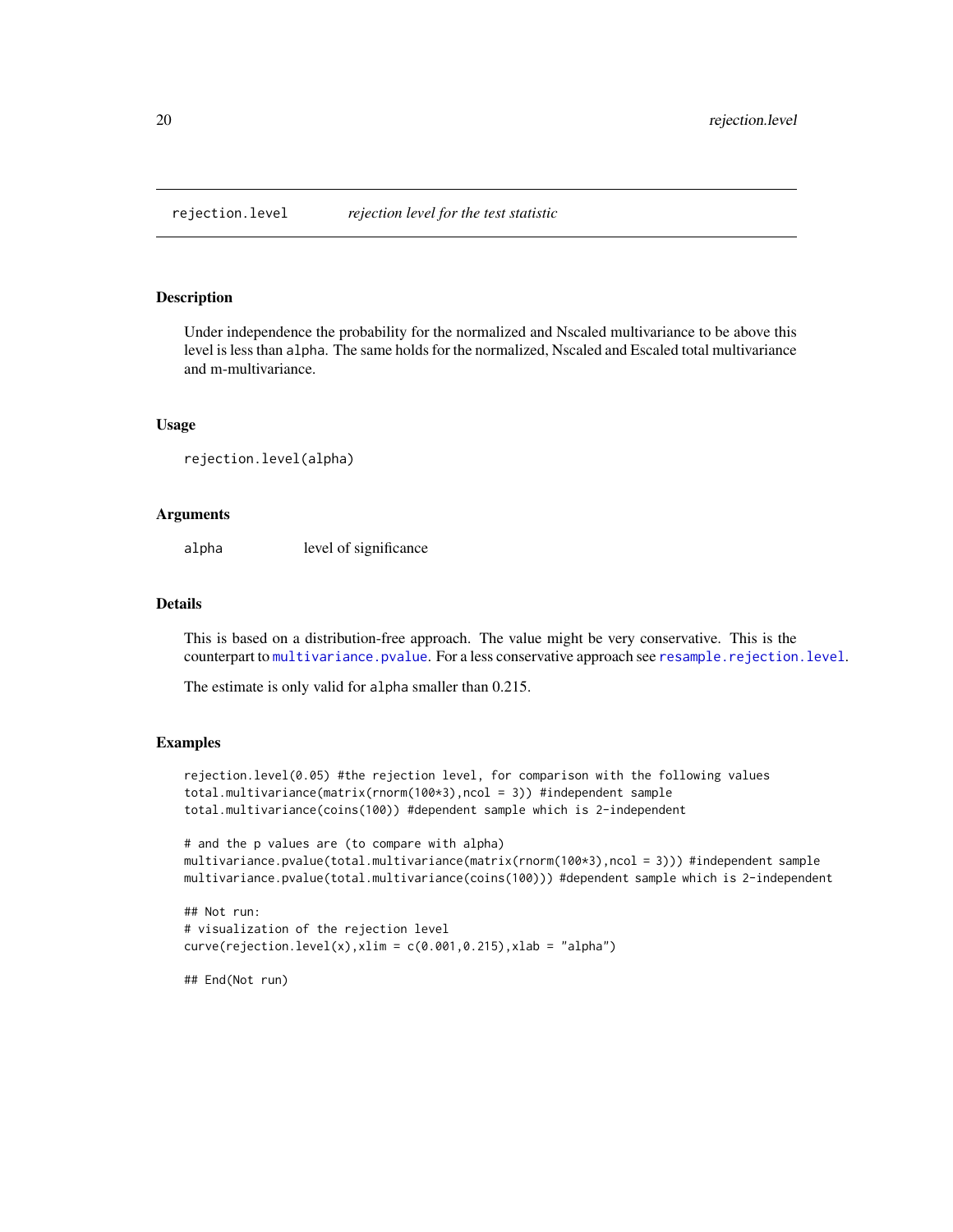<span id="page-19-1"></span><span id="page-19-0"></span>

#### Description

Under independence the probability for the normalized and Nscaled multivariance to be above this level is less than alpha. The same holds for the normalized, Nscaled and Escaled total multivariance and m-multivariance.

#### Usage

```
rejection.level(alpha)
```
#### Arguments

alpha level of significance

#### Details

This is based on a distribution-free approach. The value might be very conservative. This is the counterpart to [multivariance.pvalue](#page-17-1). For a less conservative approach see [resample.rejection.level](#page-22-1).

The estimate is only valid for alpha smaller than 0.215.

#### Examples

```
rejection.level(0.05) #the rejection level, for comparison with the following values
total.multivariance(matrix(rnorm(100*3),ncol = 3)) #independent sample
total.multivariance(coins(100)) #dependent sample which is 2-independent
```

```
# and the p values are (to compare with alpha)
multivariance.pvalue(total.multivariance(matrix(rnorm(100*3),ncol = 3))) #independent sample
multivariance.pvalue(total.multivariance(coins(100))) #dependent sample which is 2-independent
```

```
## Not run:
# visualization of the rejection level
curve(rejection.length(x), xlim = c(0.001, 0.215), xlab = "alpha")
```
## End(Not run)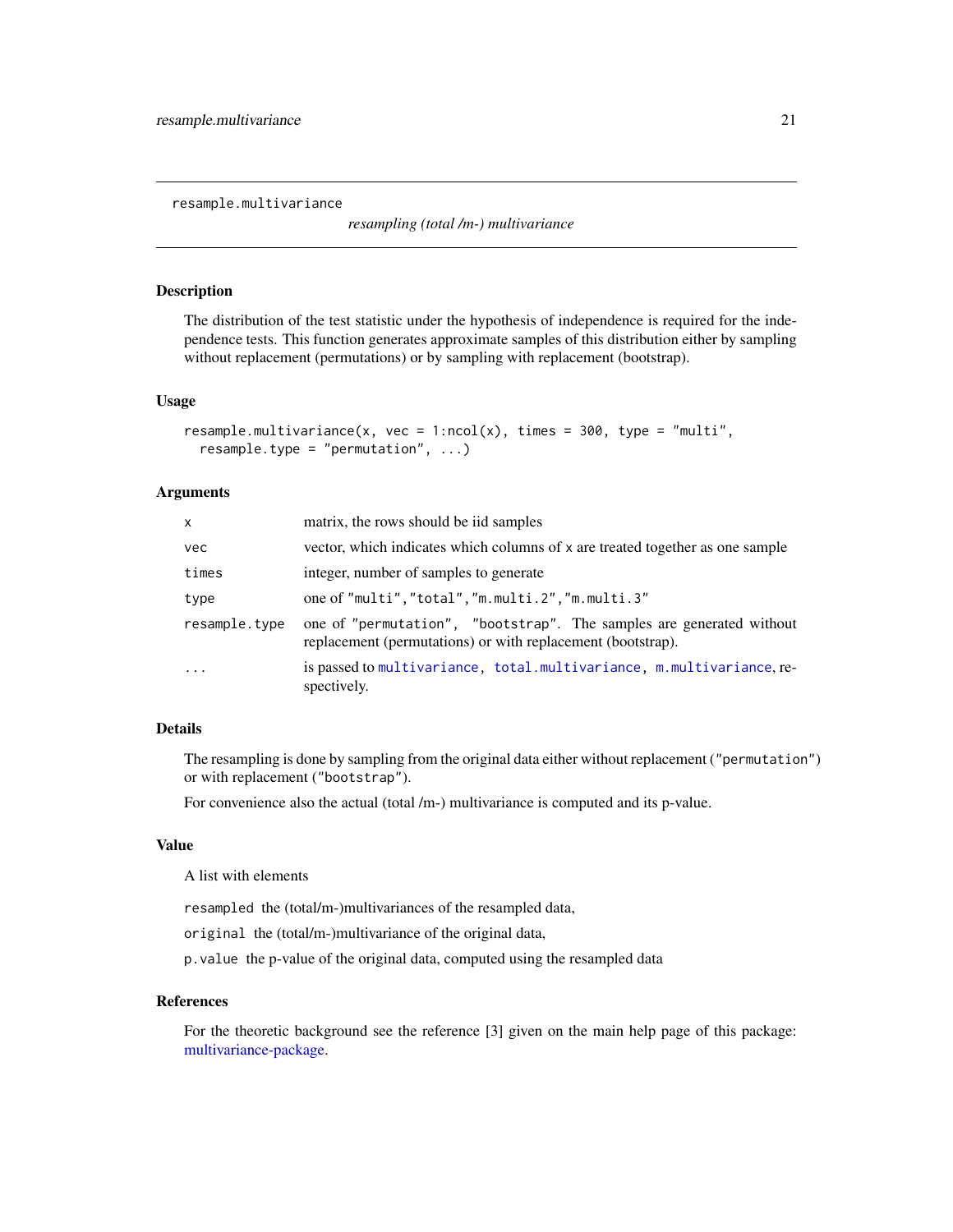<span id="page-20-1"></span><span id="page-20-0"></span>resample.multivariance

*resampling (total /m-) multivariance*

#### Description

The distribution of the test statistic under the hypothesis of independence is required for the independence tests. This function generates approximate samples of this distribution either by sampling without replacement (permutations) or by sampling with replacement (bootstrap).

#### Usage

```
resample.multivariance(x, vec = 1:ncol(x), times = 300, type = "multi".
  resample.type = "permutation", ...)
```
#### Arguments

| <b>X</b>      | matrix, the rows should be iid samples                                                                                              |
|---------------|-------------------------------------------------------------------------------------------------------------------------------------|
| vec           | vector, which indicates which columns of x are treated together as one sample                                                       |
| times         | integer, number of samples to generate                                                                                              |
| type          | one of "multi", "total", "m.multi.2", "m.multi.3"                                                                                   |
| resample.type | one of "permutation", "bootstrap". The samples are generated without<br>replacement (permutations) or with replacement (bootstrap). |
| $\ddots$      | is passed to multivariance, total.multivariance, m.multivariance, re-<br>spectively.                                                |

#### Details

The resampling is done by sampling from the original data either without replacement ("permutation") or with replacement ("bootstrap").

For convenience also the actual (total /m-) multivariance is computed and its p-value.

#### Value

A list with elements

resampled the (total/m-)multivariances of the resampled data,

original the (total/m-)multivariance of the original data,

p.value the p-value of the original data, computed using the resampled data

#### References

For the theoretic background see the reference [3] given on the main help page of this package: [multivariance-package.](#page-1-1)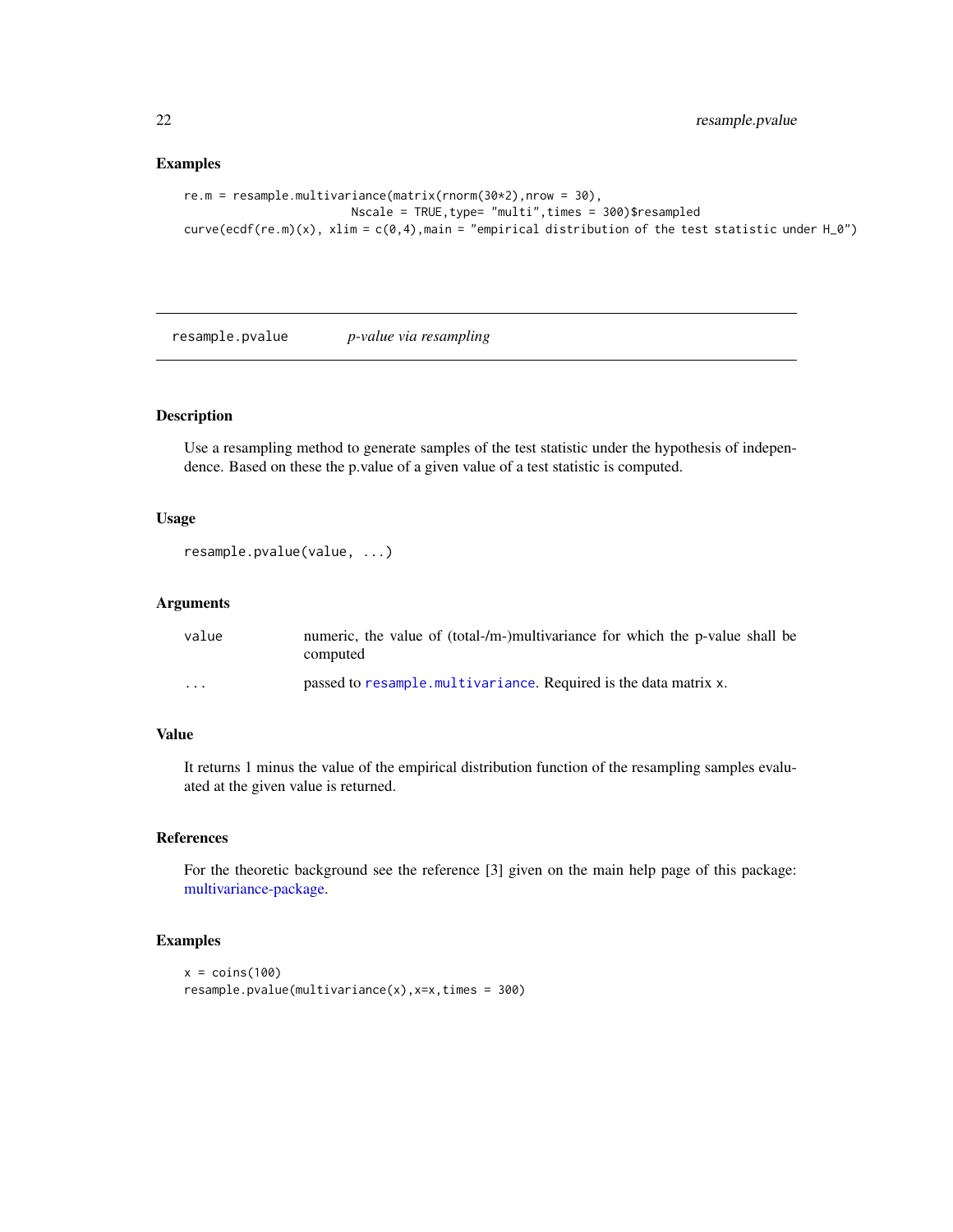#### Examples

```
re.m = resample.multivariance(matrix(rnorm(30*2),nrow = 30),
                        Nscale = TRUE,type= "multi",times = 300)$resampled
curve(ecdf(re.m)(x), xlim = c(0,4),main = "empirical distribution of the test statistic under H_0")
```
<span id="page-21-1"></span>resample.pvalue *p-value via resampling*

#### Description

Use a resampling method to generate samples of the test statistic under the hypothesis of independence. Based on these the p.value of a given value of a test statistic is computed.

#### Usage

```
resample.pvalue(value, ...)
```
#### Arguments

| value                   | numeric, the value of (total-/m-)multivariance for which the p-value shall be<br>computed |
|-------------------------|-------------------------------------------------------------------------------------------|
| $\cdot$ $\cdot$ $\cdot$ | passed to resample multivariance. Required is the data matrix x.                          |

#### Value

It returns 1 minus the value of the empirical distribution function of the resampling samples evaluated at the given value is returned.

#### References

For the theoretic background see the reference [3] given on the main help page of this package: [multivariance-package.](#page-1-1)

#### Examples

```
x = \text{coins}(100)resample.pvalue(multivariance(x),x=x,times = 300)
```
<span id="page-21-0"></span>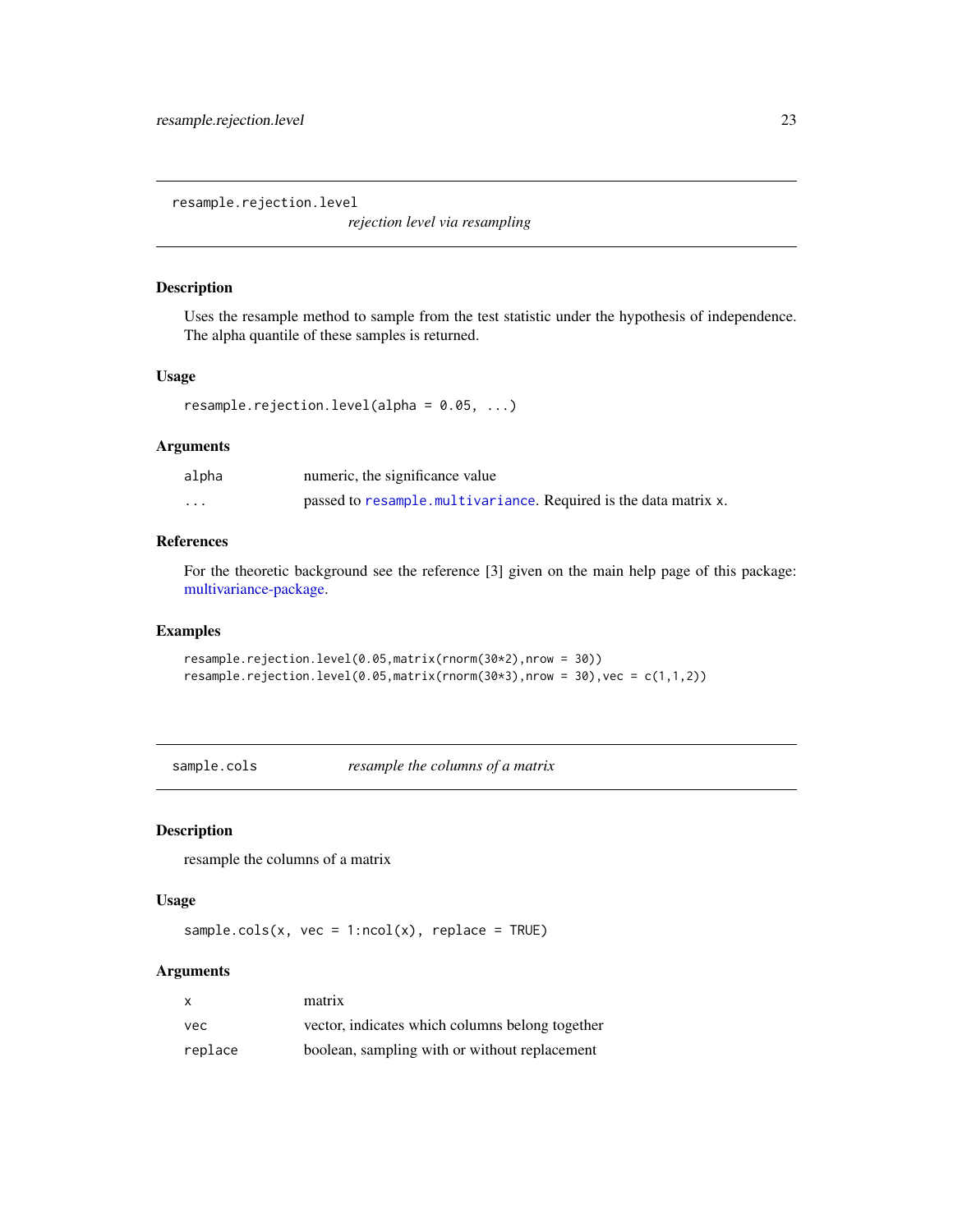<span id="page-22-1"></span><span id="page-22-0"></span>resample.rejection.level

*rejection level via resampling*

#### Description

Uses the resample method to sample from the test statistic under the hypothesis of independence. The alpha quantile of these samples is returned.

#### Usage

```
resample.rejection.level(alpha = 0.05, ...)
```
#### Arguments

| alpha    | numeric, the significance value                                  |
|----------|------------------------------------------------------------------|
| $\cdots$ | passed to resample.multivariance. Required is the data matrix x. |

#### References

For the theoretic background see the reference [3] given on the main help page of this package: [multivariance-package.](#page-1-1)

#### Examples

```
resample.rejection.level(0.05,matrix(rnorm(30*2),nrow = 30))
resample.rejection.level(0.05,matrix(rnorm(30*3),nrow = 30),vec = c(1,1,2))
```
sample.cols *resample the columns of a matrix*

#### Description

resample the columns of a matrix

#### Usage

sample.cols(x, vec =  $1:ncol(x)$ , replace = TRUE)

#### Arguments

| X       | matrix                                          |
|---------|-------------------------------------------------|
| vec     | vector, indicates which columns belong together |
| replace | boolean, sampling with or without replacement   |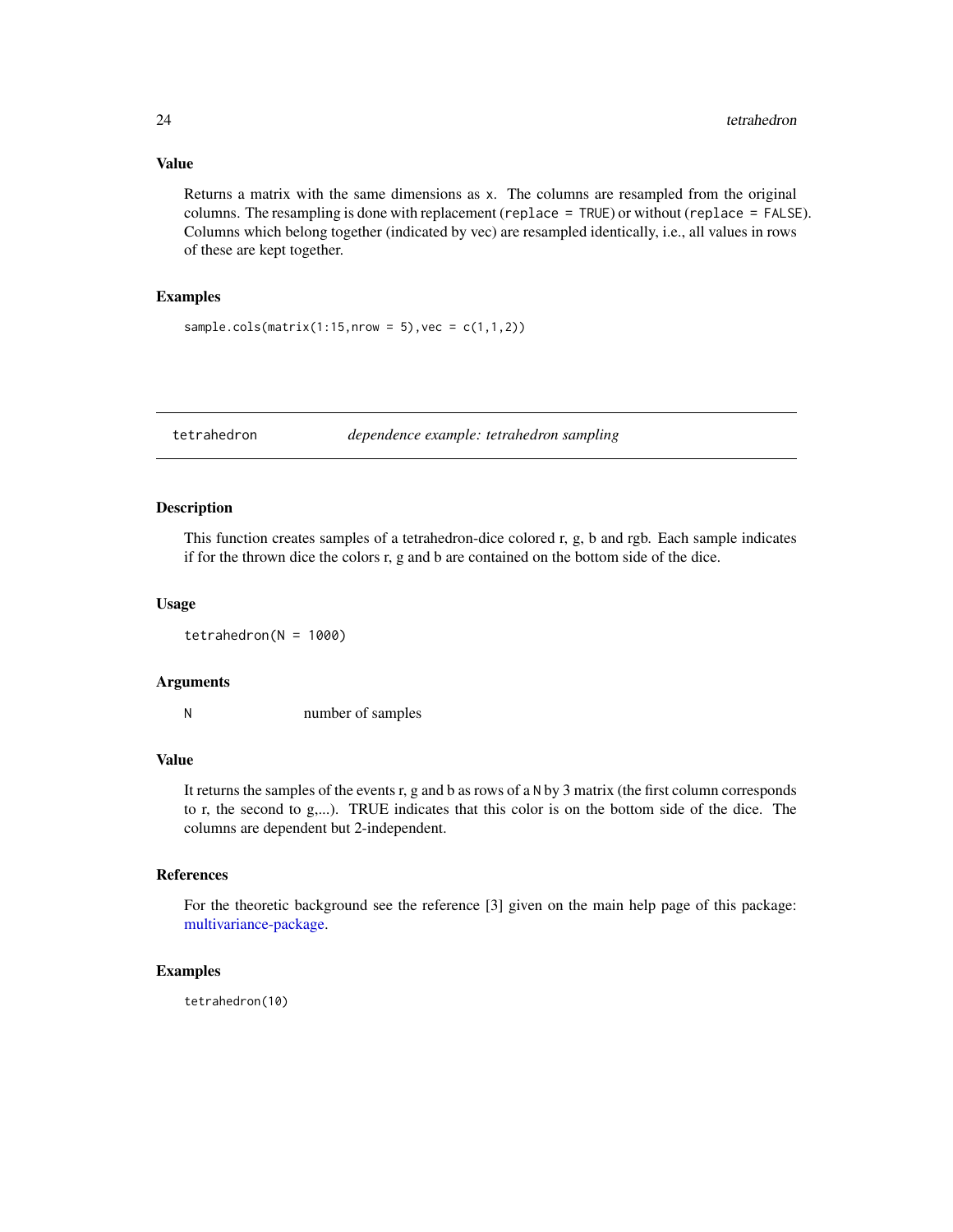#### Value

Returns a matrix with the same dimensions as x. The columns are resampled from the original columns. The resampling is done with replacement (replace = TRUE) or without (replace = FALSE). Columns which belong together (indicated by vec) are resampled identically, i.e., all values in rows of these are kept together.

#### Examples

```
sample.cols(matrix(1:15,nrow = 5), vec = c(1,1,2))
```
<span id="page-23-1"></span>tetrahedron *dependence example: tetrahedron sampling*

#### Description

This function creates samples of a tetrahedron-dice colored r, g, b and rgb. Each sample indicates if for the thrown dice the colors r, g and b are contained on the bottom side of the dice.

#### Usage

 $tetrahedron(N = 1000)$ 

#### Arguments

N number of samples

#### Value

It returns the samples of the events r, g and b as rows of a N by 3 matrix (the first column corresponds to r, the second to g,...). TRUE indicates that this color is on the bottom side of the dice. The columns are dependent but 2-independent.

#### References

For the theoretic background see the reference [3] given on the main help page of this package: [multivariance-package.](#page-1-1)

#### Examples

tetrahedron(10)

<span id="page-23-0"></span>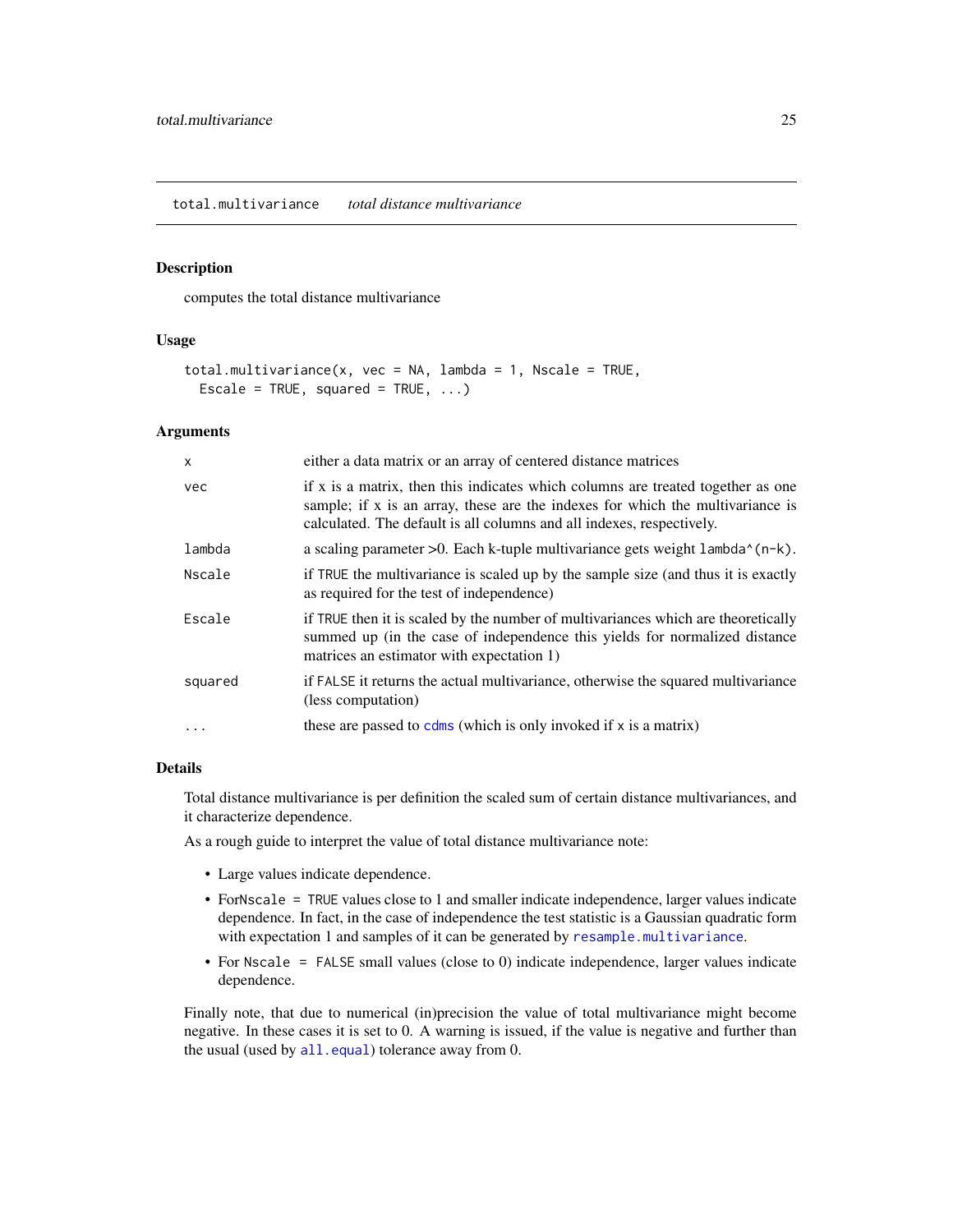#### <span id="page-24-1"></span><span id="page-24-0"></span>Description

computes the total distance multivariance

#### Usage

```
total.multivariance(x, vec = NA, lambda = 1, Nscale = TRUE,
  Escale = TRUE, squared = TRUE, \ldots)
```
#### Arguments

| $\mathsf{x}$ | either a data matrix or an array of centered distance matrices                                                                                                                                                                             |
|--------------|--------------------------------------------------------------------------------------------------------------------------------------------------------------------------------------------------------------------------------------------|
| vec          | if x is a matrix, then this indicates which columns are treated together as one<br>sample; if x is an array, these are the indexes for which the multivariance is<br>calculated. The default is all columns and all indexes, respectively. |
| lambda       | a scaling parameter >0. Each k-tuple multivariance gets weight lambda^(n-k).                                                                                                                                                               |
| Nscale       | if TRUE the multivariance is scaled up by the sample size (and thus it is exactly<br>as required for the test of independence)                                                                                                             |
| Escale       | if TRUE then it is scaled by the number of multivariances which are theoretically<br>summed up (in the case of independence this yields for normalized distance<br>matrices an estimator with expectation 1)                               |
| squared      | if FALSE it returns the actual multivariance, otherwise the squared multivariance<br>(less computation)                                                                                                                                    |
|              | these are passed to $cdms$ (which is only invoked if x is a matrix)                                                                                                                                                                        |

#### Details

Total distance multivariance is per definition the scaled sum of certain distance multivariances, and it characterize dependence.

As a rough guide to interpret the value of total distance multivariance note:

- Large values indicate dependence.
- ForNscale = TRUE values close to 1 and smaller indicate independence, larger values indicate dependence. In fact, in the case of independence the test statistic is a Gaussian quadratic form with expectation 1 and samples of it can be generated by [resample.multivariance](#page-20-1).
- For Nscale = FALSE small values (close to 0) indicate independence, larger values indicate dependence.

Finally note, that due to numerical (in)precision the value of total multivariance might become negative. In these cases it is set to 0. A warning is issued, if the value is negative and further than the usual (used by [all.equal](#page-0-0)) tolerance away from 0.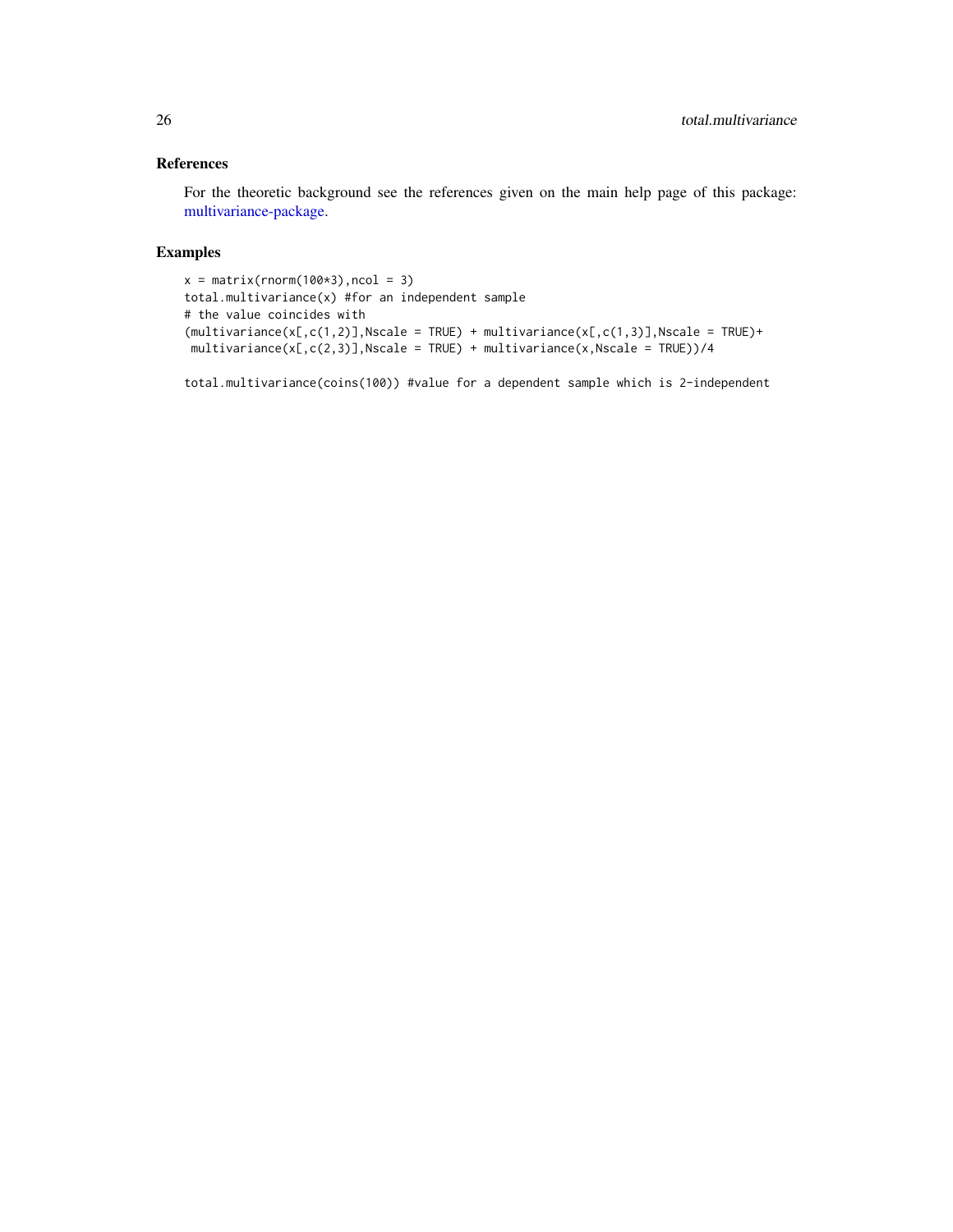#### <span id="page-25-0"></span>References

For the theoretic background see the references given on the main help page of this package: [multivariance-package.](#page-1-1)

#### Examples

```
x = matrix(rnorm(100*3),ncol = 3)total.multivariance(x) #for an independent sample
# the value coincides with
(multivariate(x[,c(1,2)],Nscale = TRUE) + multivariance(x[,c(1,3)],Nscale = TRUE)+
multivariance(x[,c(2,3)],Nscale = TRUE) + multivariance(x,Nscale = TRUE))/4
```
total.multivariance(coins(100)) #value for a dependent sample which is 2-independent